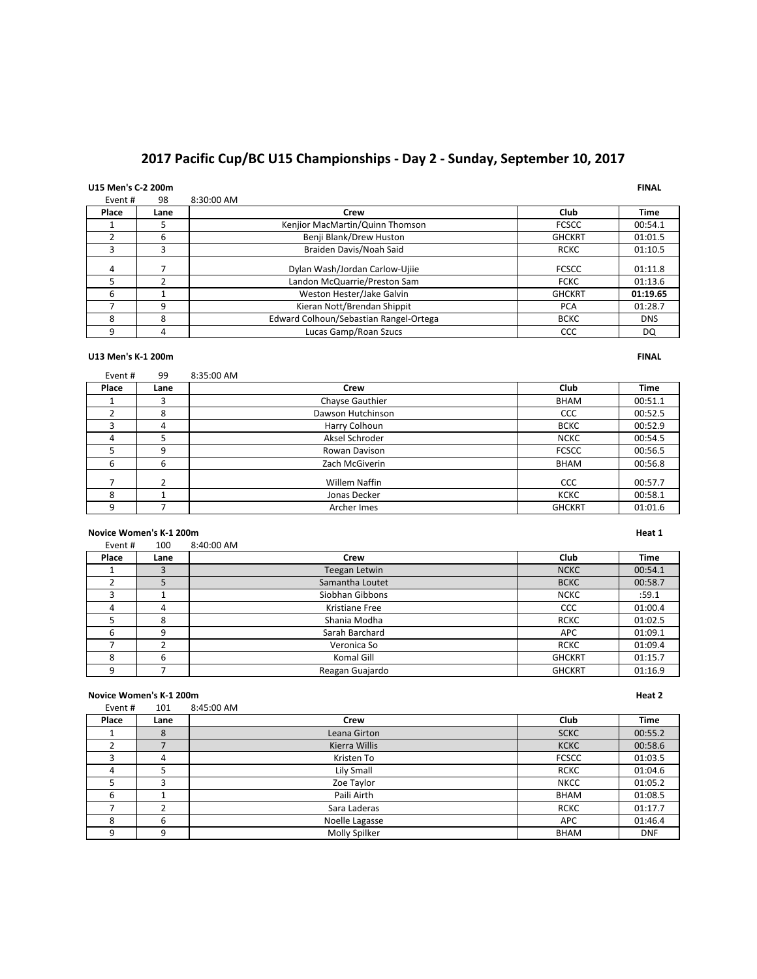# 2017 Pacific Cup/BC U15 Championships - Day 2 - Sunday, September 10, 2017

# **U15 Men's C-2 200m FINAL**

|         |      |                                        | .             |             |
|---------|------|----------------------------------------|---------------|-------------|
| Event # | 98   | 8:30:00 AM                             |               |             |
| Place   | Lane | Crew                                   | Club          | <b>Time</b> |
|         |      | Kenjior MacMartin/Quinn Thomson        | <b>FCSCC</b>  | 00:54.1     |
|         | 6    | Benji Blank/Drew Huston                | <b>GHCKRT</b> | 01:01.5     |
|         |      | Braiden Davis/Noah Said                | <b>RCKC</b>   | 01:10.5     |
| 4       |      | Dylan Wash/Jordan Carlow-Ujije         | <b>FCSCC</b>  | 01:11.8     |
|         |      | Landon McQuarrie/Preston Sam           | <b>FCKC</b>   | 01:13.6     |
| 6       |      | Weston Hester/Jake Galvin              | <b>GHCKRT</b> | 01:19.65    |
|         | q    | Kieran Nott/Brendan Shippit            | <b>PCA</b>    | 01:28.7     |
| 8       | 8    | Edward Colhoun/Sebastian Rangel-Ortega | <b>BCKC</b>   | <b>DNS</b>  |
| 9       | 4    | Lucas Gamp/Roan Szucs                  | CCC           | DQ          |

### **U13 Men's K-1 200m FINAL**

| Event # | 99   | 8:35:00 AM        |               |         |
|---------|------|-------------------|---------------|---------|
| Place   | Lane | Crew              | Club          | Time    |
|         |      | Chayse Gauthier   | <b>BHAM</b>   | 00:51.1 |
|         | 8    | Dawson Hutchinson | CCC           | 00:52.5 |
|         | 4    | Harry Colhoun     | <b>BCKC</b>   | 00:52.9 |
| 4       |      | Aksel Schroder    | <b>NCKC</b>   | 00:54.5 |
|         | 9    | Rowan Davison     | <b>FCSCC</b>  | 00:56.5 |
| 6       | 6    | Zach McGiverin    | <b>BHAM</b>   | 00:56.8 |
|         |      | Willem Naffin     | CCC           | 00:57.7 |
| 8       |      | Jonas Decker      | <b>KCKC</b>   | 00:58.1 |
| 9       |      | Archer Imes       | <b>GHCKRT</b> | 01:01.6 |

### **Novice Women's K-1 200m Heat 1**

| Event # | 100  | 8:40:00 AM      |               |             |
|---------|------|-----------------|---------------|-------------|
| Place   | Lane | Crew            | Club          | <b>Time</b> |
|         |      | Teegan Letwin   | <b>NCKC</b>   | 00:54.1     |
|         |      | Samantha Loutet | <b>BCKC</b>   | 00:58.7     |
|         |      | Siobhan Gibbons | <b>NCKC</b>   | :59.1       |
| 4       | 4    | Kristiane Free  | CCC           | 01:00.4     |
|         | 8    | Shania Modha    | <b>RCKC</b>   | 01:02.5     |
| 6       | 9    | Sarah Barchard  | <b>APC</b>    | 01:09.1     |
|         |      | Veronica So     | <b>RCKC</b>   | 01:09.4     |
| 8       | 6    | Komal Gill      | <b>GHCKRT</b> | 01:15.7     |
| 9       |      | Reagan Guajardo | <b>GHCKRT</b> | 01:16.9     |

### **Novice Women's K-1 200m Heat 2**

| Event# | 101  | 8:45:00 AM     |              |             |
|--------|------|----------------|--------------|-------------|
| Place  | Lane | Crew           | Club         | <b>Time</b> |
|        | 8    | Leana Girton   | <b>SCKC</b>  | 00:55.2     |
|        |      | Kierra Willis  | <b>KCKC</b>  | 00:58.6     |
|        | 4    | Kristen To     | <b>FCSCC</b> | 01:03.5     |
| 4      |      | Lily Small     | <b>RCKC</b>  | 01:04.6     |
|        |      | Zoe Taylor     | <b>NKCC</b>  | 01:05.2     |
| 6      |      | Paili Airth    | <b>BHAM</b>  | 01:08.5     |
|        |      | Sara Laderas   | <b>RCKC</b>  | 01:17.7     |
| 8      | 6    | Noelle Lagasse | <b>APC</b>   | 01:46.4     |
| 9      | 9    | Molly Spilker  | <b>BHAM</b>  | <b>DNF</b>  |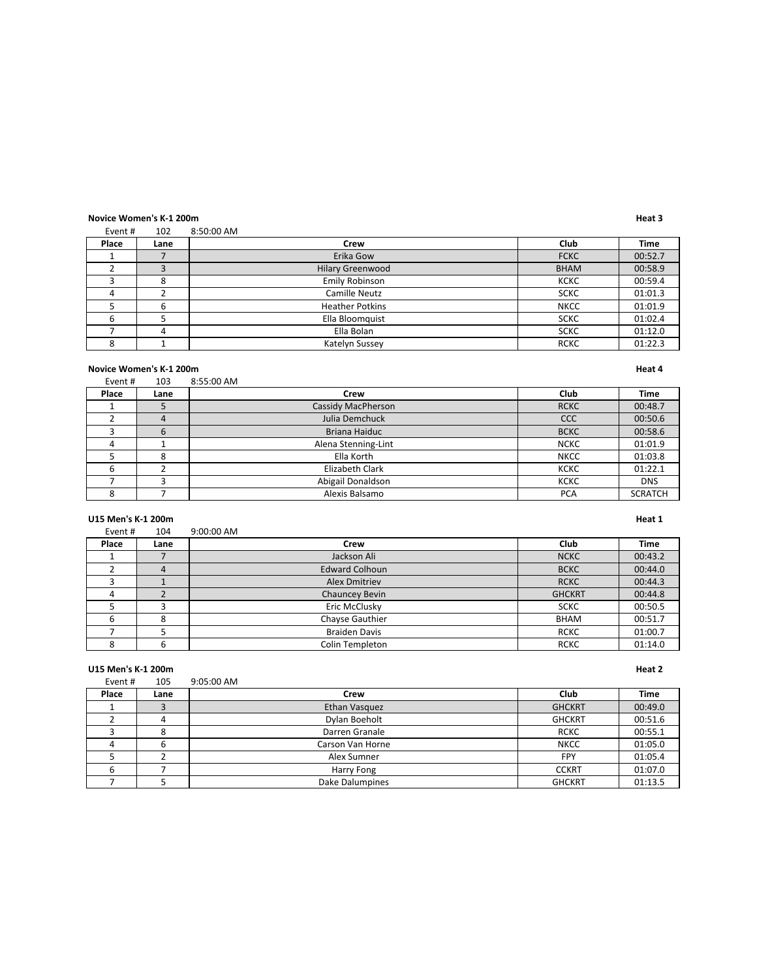### **Novice Women's K-1 200m Heat 3**

| Event # | 102          | 8:50:00 AM              |             |             |
|---------|--------------|-------------------------|-------------|-------------|
| Place   | Lane         | Crew                    | Club        | <b>Time</b> |
|         |              | Erika Gow               | <b>FCKC</b> | 00:52.7     |
|         | $\mathbf{D}$ | <b>Hilary Greenwood</b> | <b>BHAM</b> | 00:58.9     |
|         | 8            | Emily Robinson          | <b>KCKC</b> | 00:59.4     |
| 4       |              | <b>Camille Neutz</b>    | <b>SCKC</b> | 01:01.3     |
|         | 6            | <b>Heather Potkins</b>  | <b>NKCC</b> | 01:01.9     |
|         |              | Ella Bloomquist         | <b>SCKC</b> | 01:02.4     |
|         | 4            | Ella Bolan              | <b>SCKC</b> | 01:12.0     |
| 8       |              | Katelyn Sussey          | <b>RCKC</b> | 01:22.3     |

### **Novice Women's K-1 200m Heat 4**

| <b>NUVILE WUILLELLS N.L. ZUULLE</b><br>neal 4 |      |                     |             |                |
|-----------------------------------------------|------|---------------------|-------------|----------------|
| Event #                                       | 103  | 8:55:00 AM          |             |                |
| Place                                         | Lane | Crew                | Club        | <b>Time</b>    |
|                                               |      | Cassidy MacPherson  | <b>RCKC</b> | 00:48.7        |
|                                               | 4    | Julia Demchuck      | CCC         | 00:50.6        |
|                                               | 6    | Briana Haiduc       | <b>BCKC</b> | 00:58.6        |
|                                               |      | Alena Stenning-Lint | <b>NCKC</b> | 01:01.9        |
|                                               |      | Ella Korth          | <b>NKCC</b> | 01:03.8        |
| 6                                             |      | Elizabeth Clark     | <b>KCKC</b> | 01:22.1        |
|                                               |      | Abigail Donaldson   | <b>KCKC</b> | <b>DNS</b>     |
| о<br>δ                                        |      | Alexis Balsamo      | <b>PCA</b>  | <b>SCRATCH</b> |

### **U15 Men's K-1 200m Heat 1**

| Event # | 104  | 9:00:00 AM            |               |             |
|---------|------|-----------------------|---------------|-------------|
| Place   | Lane | Crew                  | Club          | <b>Time</b> |
|         |      | Jackson Ali           | <b>NCKC</b>   | 00:43.2     |
|         | 4    | <b>Edward Colhoun</b> | <b>BCKC</b>   | 00:44.0     |
|         |      | Alex Dmitriev         | <b>RCKC</b>   | 00:44.3     |
| 4       |      | Chauncey Bevin        | <b>GHCKRT</b> | 00:44.8     |
|         |      | Eric McClusky         | <b>SCKC</b>   | 00:50.5     |
| h       | 8    | Chayse Gauthier       | <b>BHAM</b>   | 00:51.7     |
|         |      | <b>Braiden Davis</b>  | <b>RCKC</b>   | 01:00.7     |
| 8       | 6    | Colin Templeton       | <b>RCKC</b>   | 01:14.0     |

### **U15 Men's K-1 200m Heat 2**

| Event # | 105  | 9:05:00 AM       |               |             |
|---------|------|------------------|---------------|-------------|
| Place   | Lane | Crew             | Club          | <b>Time</b> |
|         |      | Ethan Vasquez    | <b>GHCKRT</b> | 00:49.0     |
|         | 4    | Dylan Boeholt    | <b>GHCKRT</b> | 00:51.6     |
|         | 8    | Darren Granale   | <b>RCKC</b>   | 00:55.1     |
|         | 6    | Carson Van Horne | <b>NKCC</b>   | 01:05.0     |
|         |      | Alex Sumner      | FPY           | 01:05.4     |
|         |      | Harry Fong       | <b>CCKRT</b>  | 01:07.0     |
|         |      | Dake Dalumpines  | <b>GHCKRT</b> | 01:13.5     |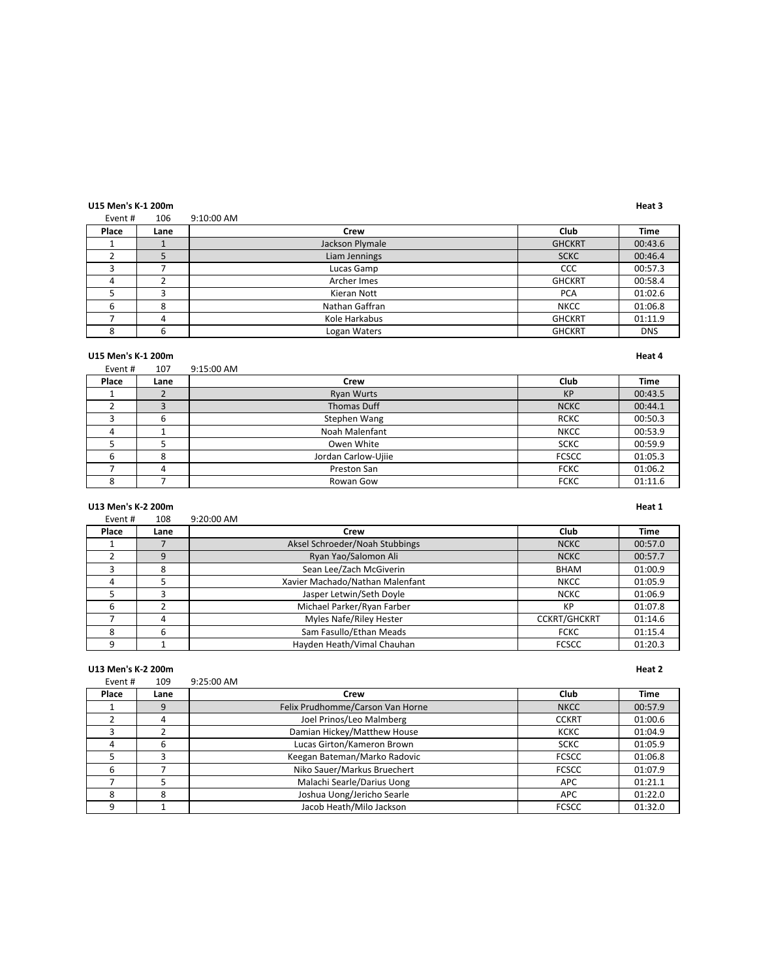### **U15 Men's K-1 200m Heat 3**

Event # 106 9:10:00 AM

| Place | Lane | Crew            | Club          | <b>Time</b> |
|-------|------|-----------------|---------------|-------------|
|       |      | Jackson Plymale | <b>GHCKRT</b> | 00:43.6     |
|       |      | Liam Jennings   | <b>SCKC</b>   | 00:46.4     |
|       |      | Lucas Gamp      | CCC           | 00:57.3     |
|       |      | Archer Imes     | <b>GHCKRT</b> | 00:58.4     |
|       |      | Kieran Nott     | <b>PCA</b>    | 01:02.6     |
|       |      | Nathan Gaffran  | <b>NKCC</b>   | 01:06.8     |
|       |      | Kole Harkabus   | <b>GHCKRT</b> | 01:11.9     |
|       | 6    | Logan Waters    | <b>GHCKRT</b> | <b>DNS</b>  |

### **U15 Men's K-1 200m Heat 4**

| Event # | 107  | 9:15:00 AM          |              |             |
|---------|------|---------------------|--------------|-------------|
| Place   | Lane | Crew                | Club         | <b>Time</b> |
|         |      | <b>Ryan Wurts</b>   | <b>KP</b>    | 00:43.5     |
|         |      | Thomas Duff         | <b>NCKC</b>  | 00:44.1     |
|         | b    | Stephen Wang        | <b>RCKC</b>  | 00:50.3     |
| 4       |      | Noah Malenfant      | <b>NKCC</b>  | 00:53.9     |
|         |      | Owen White          | <b>SCKC</b>  | 00:59.9     |
| b       | 8    | Jordan Carlow-Ujiie | <b>FCSCC</b> | 01:05.3     |
|         | 4    | Preston San         | <b>FCKC</b>  | 01:06.2     |
| δ       |      | Rowan Gow           | <b>FCKC</b>  | 01:11.6     |

### **U13 Men's K-2 200m Heat 1**

| Event# | 108  | 9:20:00 AM                      |                     |         |
|--------|------|---------------------------------|---------------------|---------|
| Place  | Lane | Crew                            | Club                | Time    |
|        |      | Aksel Schroeder/Noah Stubbings  | <b>NCKC</b>         | 00:57.0 |
|        |      | Ryan Yao/Salomon Ali            | <b>NCKC</b>         | 00:57.7 |
|        | 8    | Sean Lee/Zach McGiverin         | <b>BHAM</b>         | 01:00.9 |
|        |      | Xavier Machado/Nathan Malenfant | <b>NKCC</b>         | 01:05.9 |
|        |      | Jasper Letwin/Seth Doyle        | <b>NCKC</b>         | 01:06.9 |
| 6      |      | Michael Parker/Ryan Farber      | КP                  | 01:07.8 |
|        | 4    | Myles Nafe/Riley Hester         | <b>CCKRT/GHCKRT</b> | 01:14.6 |
|        |      | Sam Fasullo/Ethan Meads         | <b>FCKC</b>         | 01:15.4 |
|        |      | Hayden Heath/Vimal Chauhan      | <b>FCSCC</b>        | 01:20.3 |

### **U13 Men's K-2 200m Heat 2**

| Event# | 109  | 9:25:00 AM                       |              |             |
|--------|------|----------------------------------|--------------|-------------|
| Place  | Lane | Crew                             | Club         | <b>Time</b> |
|        | 9    | Felix Prudhomme/Carson Van Horne | <b>NKCC</b>  | 00:57.9     |
|        | 4    | Joel Prinos/Leo Malmberg         | <b>CCKRT</b> | 01:00.6     |
|        |      | Damian Hickey/Matthew House      | <b>KCKC</b>  | 01:04.9     |
| 4      | 6    | Lucas Girton/Kameron Brown       | <b>SCKC</b>  | 01:05.9     |
|        |      | Keegan Bateman/Marko Radovic     | <b>FCSCC</b> | 01:06.8     |
| 6      |      | Niko Sauer/Markus Bruechert      | <b>FCSCC</b> | 01:07.9     |
|        |      | Malachi Searle/Darius Uong       | <b>APC</b>   | 01:21.1     |
| 8      | 8    | Joshua Uong/Jericho Searle       | <b>APC</b>   | 01:22.0     |
| q      |      | Jacob Heath/Milo Jackson         | <b>FCSCC</b> | 01:32.0     |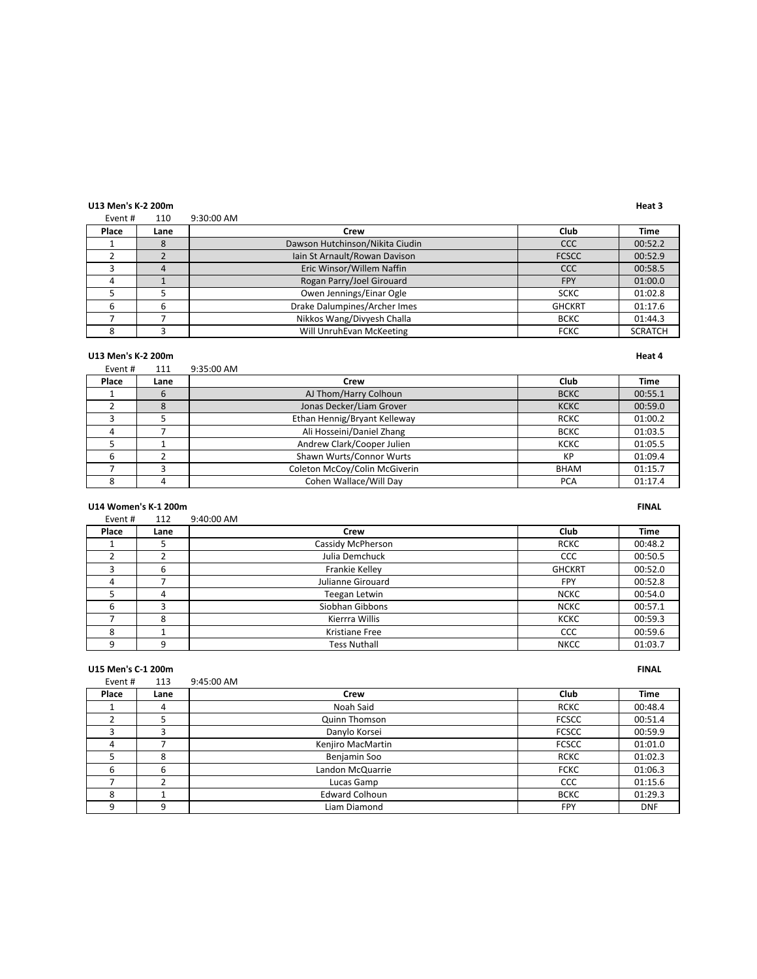### **U13 Men's K-2 200m Heat 3**

Event # 110 9:30:00 AM

| Place | Lane | Crew                            | Club          | <b>Time</b>    |
|-------|------|---------------------------------|---------------|----------------|
|       |      | Dawson Hutchinson/Nikita Ciudin | CCC           | 00:52.2        |
|       |      | Iain St Arnault/Rowan Davison   | <b>FCSCC</b>  | 00:52.9        |
|       |      | Eric Winsor/Willem Naffin       | CCC           | 00:58.5        |
|       |      | Rogan Parry/Joel Girouard       | <b>FPY</b>    | 01:00.0        |
|       |      | Owen Jennings/Einar Ogle        | <b>SCKC</b>   | 01:02.8        |
|       |      | Drake Dalumpines/Archer Imes    | <b>GHCKRT</b> | 01:17.6        |
|       |      | Nikkos Wang/Divyesh Challa      | <b>BCKC</b>   | 01:44.3        |
|       |      | Will UnruhEvan McKeeting        | <b>FCKC</b>   | <b>SCRATCH</b> |

### **U13 Men's K-2 200m Heat 4**

| Event# | 111  | 9:35:00 AM                    |             |         |
|--------|------|-------------------------------|-------------|---------|
| Place  | Lane | Crew                          | Club        | Time    |
|        | 6    | AJ Thom/Harry Colhoun         | <b>BCKC</b> | 00:55.1 |
|        | 8    | Jonas Decker/Liam Grover      | <b>KCKC</b> | 00:59.0 |
|        |      | Ethan Hennig/Bryant Kelleway  | <b>RCKC</b> | 01:00.2 |
|        |      | Ali Hosseini/Daniel Zhang     | <b>BCKC</b> | 01:03.5 |
|        |      | Andrew Clark/Cooper Julien    | <b>KCKC</b> | 01:05.5 |
|        |      | Shawn Wurts/Connor Wurts      | KP          | 01:09.4 |
|        |      | Coleton McCoy/Colin McGiverin | <b>BHAM</b> | 01:15.7 |
|        |      | Cohen Wallace/Will Day        | <b>PCA</b>  | 01:17.4 |

### **U14 Women's K-1 200m FINAL**

| Event # | 112  | 9:40:00 AM        |               |             |
|---------|------|-------------------|---------------|-------------|
| Place   | Lane | Crew              | Club          | <b>Time</b> |
|         |      | Cassidy McPherson | <b>RCKC</b>   | 00:48.2     |
|         |      | Julia Demchuck    | CCC           | 00:50.5     |
|         | 6    | Frankie Kelley    | <b>GHCKRT</b> | 00:52.0     |
| 4       |      | Julianne Girouard | <b>FPY</b>    | 00:52.8     |
|         | 4    | Teegan Letwin     | <b>NCKC</b>   | 00:54.0     |
| 6       |      | Siobhan Gibbons   | <b>NCKC</b>   | 00:57.1     |
|         | 8    | Kierrra Willis    | <b>KCKC</b>   | 00:59.3     |
| 8       |      | Kristiane Free    | CCC           | 00:59.6     |
|         |      | Tess Nuthall      | <b>NKCC</b>   | 01:03.7     |

### **U15 Men's C-1 200m FINAL**

| Event # | 113  | 9:45:00 AM            |              |             |
|---------|------|-----------------------|--------------|-------------|
| Place   | Lane | Crew                  | Club         | <b>Time</b> |
|         | 4    | Noah Said             | <b>RCKC</b>  | 00:48.4     |
|         |      | Quinn Thomson         | <b>FCSCC</b> | 00:51.4     |
|         |      | Danylo Korsei         | <b>FCSCC</b> | 00:59.9     |
| 4       |      | Kenjiro MacMartin     | <b>FCSCC</b> | 01:01.0     |
|         | 8    | Benjamin Soo          | <b>RCKC</b>  | 01:02.3     |
| 6       | 6    | Landon McQuarrie      | <b>FCKC</b>  | 01:06.3     |
|         |      | Lucas Gamp            | CCC          | 01:15.6     |
| 8       |      | <b>Edward Colhoun</b> | <b>BCKC</b>  | 01:29.3     |
| q       | 9    | Liam Diamond          | <b>FPY</b>   | <b>DNF</b>  |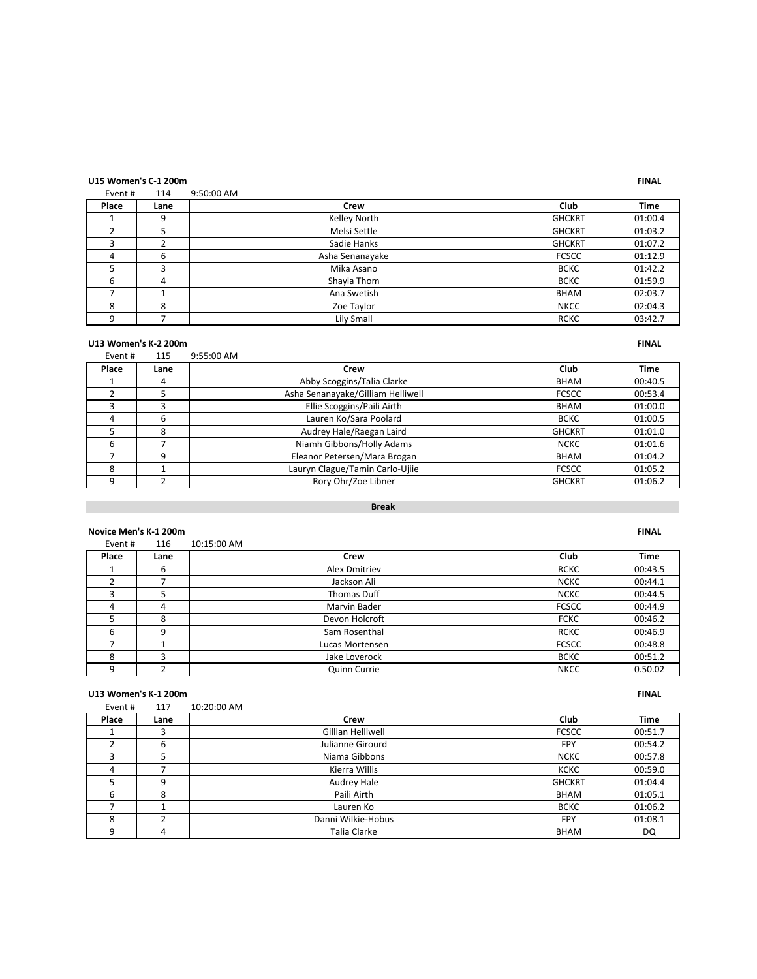# **U15 Women's C-1 200m FINAL**

### Event # 114 9:50:00 AM

| Place | Lane | Crew            | Club          | <b>Time</b> |
|-------|------|-----------------|---------------|-------------|
|       | 9    | Kelley North    | <b>GHCKRT</b> | 01:00.4     |
|       |      | Melsi Settle    | <b>GHCKRT</b> | 01:03.2     |
|       |      | Sadie Hanks     | <b>GHCKRT</b> | 01:07.2     |
| д     | 6    | Asha Senanayake | <b>FCSCC</b>  | 01:12.9     |
|       |      | Mika Asano      | <b>BCKC</b>   | 01:42.2     |
| 6     |      | Shayla Thom     | <b>BCKC</b>   | 01:59.9     |
|       |      | Ana Swetish     | <b>BHAM</b>   | 02:03.7     |
| 8     | 8    | Zoe Taylor      | <b>NKCC</b>   | 02:04.3     |
| q     |      | Lily Small      | <b>RCKC</b>   | 03:42.7     |

### **U13 Women's K-2 200m FINAL**

### Event # 115 9:55:00 AM **Place Lane Crew Club Time** 1 4 Abby Scoggins/Talia Clarke BHAM 00:40.5<br>2 5 Asha Senanayake/Gilliam Helliwell FCSCC 00:53.4 Asha Senanayake/Gilliam Helliwell 3 3 3 Blie Scoggins/Paili Airth BHAM 01:00.0<br>4 6 Lauren Ko/Sara Poolard BCKC 01:00.5 4 Francisco Lauren Ko/Sara Poolard 5 8 8 Audrey Hale/Raegan Laird GHCKRT 01:01.0 6 7 Niamh Gibbons/Holly Adams NGC 201:01.6 T 9 BHAM 01:04.2<br>
Reanor Petersen/Mara Brogan BHAM 01:04.2<br>
Lauryn Clague/Tamin Carlo-Ujiie FCSCC 01:05.2 Lauryn Clague/Tamin Carlo-Ujiie **FCSCC** | 01:05.2 9 2 Rory Ohr/Zoe Libner GHCKRT 01:06.2

### **Break**

### **Novice Men's K-1 200m FINAL**

| Event # | 116  | 10:15:00 AM          |              |             |
|---------|------|----------------------|--------------|-------------|
| Place   | Lane | Crew                 | Club         | <b>Time</b> |
|         | 6    | <b>Alex Dmitriev</b> | <b>RCKC</b>  | 00:43.5     |
|         |      | Jackson Ali          | <b>NCKC</b>  | 00:44.1     |
|         |      | Thomas Duff          | <b>NCKC</b>  | 00:44.5     |
| 4       | 4    | Marvin Bader         | <b>FCSCC</b> | 00:44.9     |
|         | 8    | Devon Holcroft       | <b>FCKC</b>  | 00:46.2     |
| 6       | 9    | Sam Rosenthal        | <b>RCKC</b>  | 00:46.9     |
|         |      | Lucas Mortensen      | <b>FCSCC</b> | 00:48.8     |
| 8       |      | Jake Loverock        | <b>BCKC</b>  | 00:51.2     |
| 9       |      | Quinn Currie         | <b>NKCC</b>  | 0.50.02     |

### **U13 Women's K-1 200m FINAL**

| Event # | 117  | 10:20:00 AM        |               |             |
|---------|------|--------------------|---------------|-------------|
| Place   | Lane | Crew               | Club          | <b>Time</b> |
|         |      | Gillian Helliwell  | <b>FCSCC</b>  | 00:51.7     |
|         | 6    | Julianne Girourd   | <b>FPY</b>    | 00:54.2     |
|         |      | Niama Gibbons      | <b>NCKC</b>   | 00:57.8     |
|         |      | Kierra Willis      | <b>KCKC</b>   | 00:59.0     |
|         | 9    | Audrey Hale        | <b>GHCKRT</b> | 01:04.4     |
| 6       | 8    | Paili Airth        | <b>BHAM</b>   | 01:05.1     |
|         |      | Lauren Ko          | <b>BCKC</b>   | 01:06.2     |
| 8       |      | Danni Wilkie-Hobus | <b>FPY</b>    | 01:08.1     |
| 9       |      | Talia Clarke       | <b>BHAM</b>   | DQ          |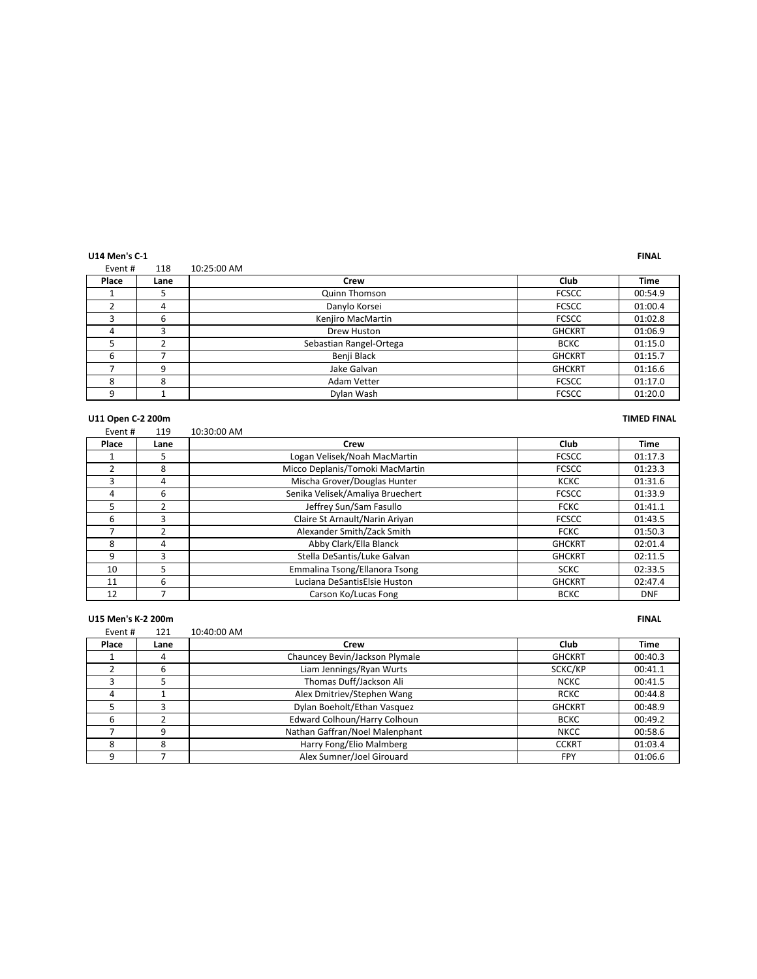**U14 Men's C-1 FINAL**

| Event # | 118  | 10:25:00 AM             |               |         |
|---------|------|-------------------------|---------------|---------|
| Place   | Lane | Crew                    | Club          | Time    |
|         |      | Quinn Thomson           | <b>FCSCC</b>  | 00:54.9 |
|         | 4    | Danylo Korsei           | <b>FCSCC</b>  | 01:00.4 |
|         | 6    | Kenjiro MacMartin       | <b>FCSCC</b>  | 01:02.8 |
| 4       |      | Drew Huston             | <b>GHCKRT</b> | 01:06.9 |
|         |      | Sebastian Rangel-Ortega | <b>BCKC</b>   | 01:15.0 |
| b       |      | Benji Black             | <b>GHCKRT</b> | 01:15.7 |
|         | 9    | Jake Galvan             | <b>GHCKRT</b> | 01:16.6 |
| 8       | 8    | Adam Vetter             | <b>FCSCC</b>  | 01:17.0 |
|         |      | Dylan Wash              | <b>FCSCC</b>  | 01:20.0 |

### **U11 Open C-2 200m TIMED FINAL**

| Event# | 119            | 10:30:00 AM                      |               |            |
|--------|----------------|----------------------------------|---------------|------------|
| Place  | Lane           | Crew                             | Club          | Time       |
|        | 5              | Logan Velisek/Noah MacMartin     | <b>FCSCC</b>  | 01:17.3    |
|        | 8              | Micco Deplanis/Tomoki MacMartin  | <b>FCSCC</b>  | 01:23.3    |
| ξ      | 4              | Mischa Grover/Douglas Hunter     | <b>KCKC</b>   | 01:31.6    |
| 4      | 6              | Senika Velisek/Amaliya Bruechert | <b>FCSCC</b>  | 01:33.9    |
| 5      | $\mathfrak{p}$ | Jeffrey Sun/Sam Fasullo          | <b>FCKC</b>   | 01:41.1    |
| 6      | 3              | Claire St Arnault/Narin Ariyan   | <b>FCSCC</b>  | 01:43.5    |
|        | $\mathcal{P}$  | Alexander Smith/Zack Smith       | <b>FCKC</b>   | 01:50.3    |
| 8      | 4              | Abby Clark/Ella Blanck           | <b>GHCKRT</b> | 02:01.4    |
| 9      | $\mathbf{a}$   | Stella DeSantis/Luke Galvan      | <b>GHCKRT</b> | 02:11.5    |
| 10     | 5              | Emmalina Tsong/Ellanora Tsong    | <b>SCKC</b>   | 02:33.5    |
| 11     | 6              | Luciana DeSantisElsie Huston     | <b>GHCKRT</b> | 02:47.4    |
| 12     |                | Carson Ko/Lucas Fong             | <b>BCKC</b>   | <b>DNF</b> |

|        | U15 Men's K-2 200m |                                |               |             |  |
|--------|--------------------|--------------------------------|---------------|-------------|--|
| Event# | 121                | 10:40:00 AM                    |               |             |  |
| Place  | Lane               | Crew                           | Club          | <b>Time</b> |  |
|        | 4                  | Chauncey Bevin/Jackson Plymale | <b>GHCKRT</b> | 00:40.3     |  |
|        | 6                  | Liam Jennings/Ryan Wurts       | SCKC/KP       | 00:41.1     |  |
| ξ      | 5                  | Thomas Duff/Jackson Ali        | <b>NCKC</b>   | 00:41.5     |  |
| 4      |                    | Alex Dmitriev/Stephen Wang     | <b>RCKC</b>   | 00:44.8     |  |
|        | ξ                  | Dylan Boeholt/Ethan Vasquez    | <b>GHCKRT</b> | 00:48.9     |  |
| 6      |                    | Edward Colhoun/Harry Colhoun   | <b>BCKC</b>   | 00:49.2     |  |
|        | 9                  | Nathan Gaffran/Noel Malenphant | <b>NKCC</b>   | 00:58.6     |  |
| 8      | 8                  | Harry Fong/Elio Malmberg       | <b>CCKRT</b>  | 01:03.4     |  |
| 9      |                    | Alex Sumner/Joel Girouard      | <b>FPY</b>    | 01:06.6     |  |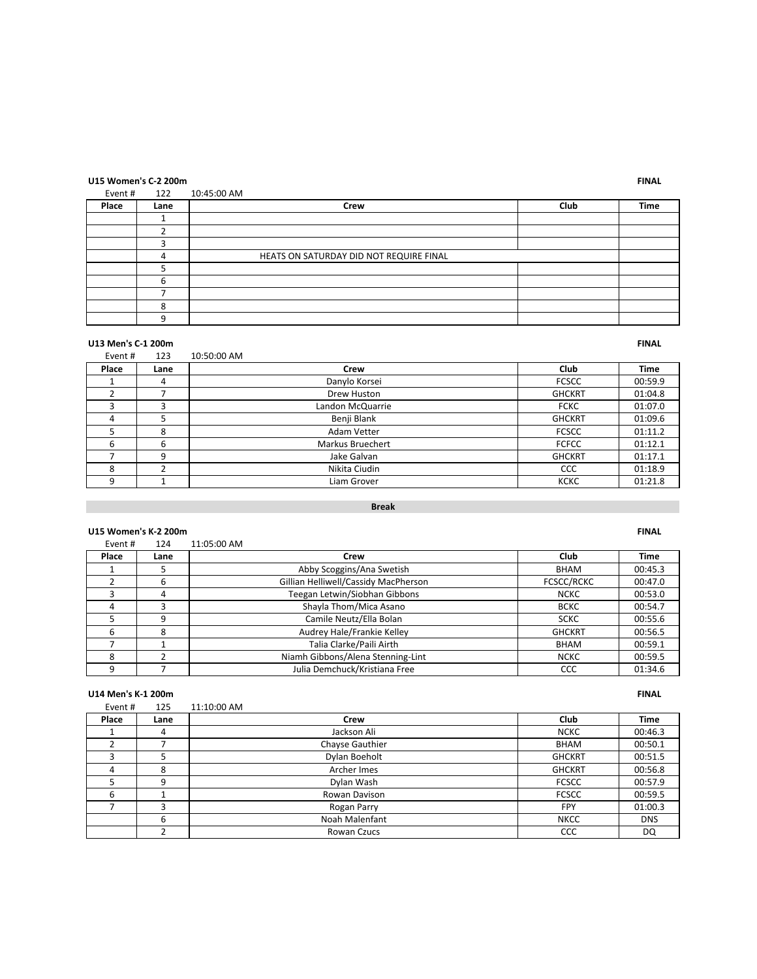# **U15 Women's C-2 200m FINAL**

### Event # 122 10:45:00 AM

| Place | Lane | <b>Crew</b>                             | Club | <b>Time</b> |
|-------|------|-----------------------------------------|------|-------------|
|       |      |                                         |      |             |
|       |      |                                         |      |             |
|       |      |                                         |      |             |
|       |      | HEATS ON SATURDAY DID NOT REQUIRE FINAL |      |             |
|       |      |                                         |      |             |
|       |      |                                         |      |             |
|       |      |                                         |      |             |
|       |      |                                         |      |             |
|       |      |                                         |      |             |

### **U13 Men's C-1 200m FINAL**

| Event # | 123  | 10:50:00 AM             |               |             |
|---------|------|-------------------------|---------------|-------------|
| Place   | Lane | Crew                    | Club          | <b>Time</b> |
|         | 4    | Danylo Korsei           | <b>FCSCC</b>  | 00:59.9     |
|         |      | Drew Huston             | <b>GHCKRT</b> | 01:04.8     |
| р       | κ    | Landon McQuarrie        | <b>FCKC</b>   | 01:07.0     |
| 4       |      | Benji Blank             | <b>GHCKRT</b> | 01:09.6     |
|         | 8    | Adam Vetter             | <b>FCSCC</b>  | 01:11.2     |
| 6       | 6    | <b>Markus Bruechert</b> | <b>FCFCC</b>  | 01:12.1     |
|         | q    | Jake Galvan             | <b>GHCKRT</b> | 01:17.1     |
| 8       |      | Nikita Ciudin           | <b>CCC</b>    | 01:18.9     |
| 9       |      | Liam Grover             | <b>KCKC</b>   | 01:21.8     |

### **Break**

### **U15 Women's K-2 200m FINAL**

| Event# | 124  | 11:05:00 AM                          |                   |             |
|--------|------|--------------------------------------|-------------------|-------------|
| Place  | Lane | Crew                                 | Club              | <b>Time</b> |
|        |      | Abby Scoggins/Ana Swetish            | BHAM              | 00:45.3     |
|        | 6    | Gillian Helliwell/Cassidy MacPherson | <b>FCSCC/RCKC</b> | 00:47.0     |
| ς      | 4    | Teegan Letwin/Siobhan Gibbons        | <b>NCKC</b>       | 00:53.0     |
| 4      |      | Shayla Thom/Mica Asano               | <b>BCKC</b>       | 00:54.7     |
|        | 9    | Camile Neutz/Ella Bolan              | <b>SCKC</b>       | 00:55.6     |
| 6      | 8    | Audrey Hale/Frankie Kelley           | <b>GHCKRT</b>     | 00:56.5     |
|        |      | Talia Clarke/Paili Airth             | <b>BHAM</b>       | 00:59.1     |
| 8      |      | Niamh Gibbons/Alena Stenning-Lint    | <b>NCKC</b>       | 00:59.5     |
| q      |      | Julia Demchuck/Kristiana Free        | CCC               | 01:34.6     |

### **U14 Men's K-1 200m FINAL**

| Event # | 125  | 11:10:00 AM     |               |             |
|---------|------|-----------------|---------------|-------------|
| Place   | Lane | Crew            | Club          | <b>Time</b> |
|         | 4    | Jackson Ali     | <b>NCKC</b>   | 00:46.3     |
|         |      | Chayse Gauthier | <b>BHAM</b>   | 00:50.1     |
|         |      | Dylan Boeholt   | <b>GHCKRT</b> | 00:51.5     |
| 4       | 8    | Archer Imes     | <b>GHCKRT</b> | 00:56.8     |
|         | ٩    | Dylan Wash      | <b>FCSCC</b>  | 00:57.9     |
| b       |      | Rowan Davison   | <b>FCSCC</b>  | 00:59.5     |
|         |      | Rogan Parry     | <b>FPY</b>    | 01:00.3     |
|         | 6    | Noah Malenfant  | <b>NKCC</b>   | <b>DNS</b>  |
|         |      | Rowan Czucs     | CCC           | DQ          |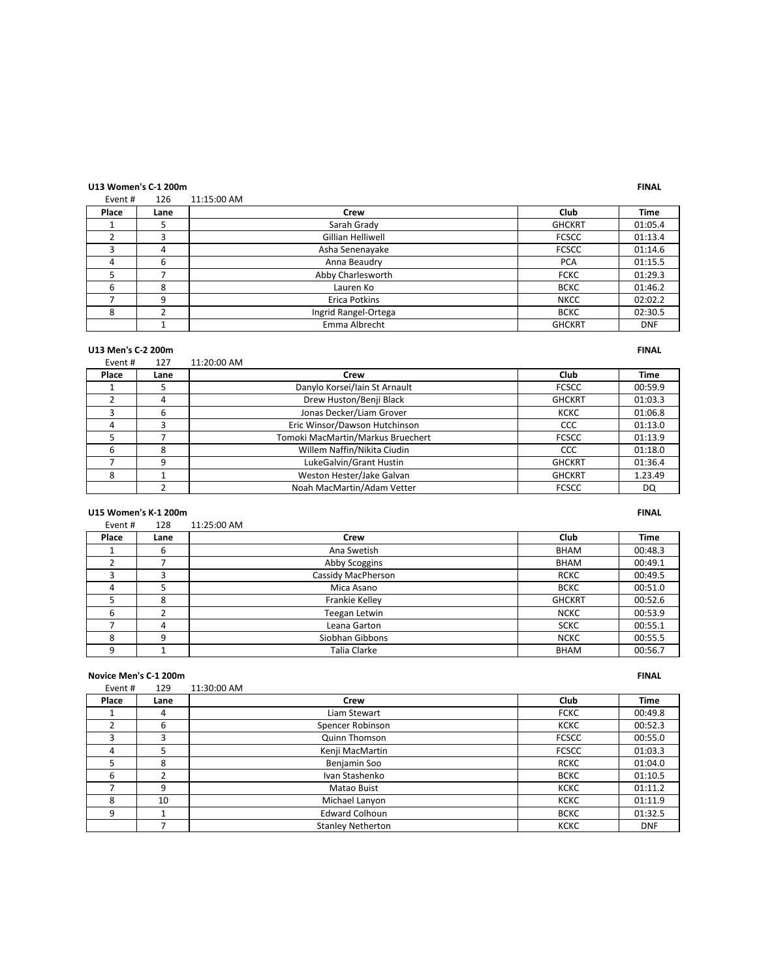# **U13 Women's C-1 200m FINAL**

# Event # 11:15:00 AM

| LVEIIL # | ⊥∠∪  | TT'TJ'OO WIAI        |               |             |
|----------|------|----------------------|---------------|-------------|
| Place    | Lane | Crew                 | Club          | <b>Time</b> |
|          |      | Sarah Grady          | <b>GHCKRT</b> | 01:05.4     |
|          |      | Gillian Helliwell    | <b>FCSCC</b>  | 01:13.4     |
|          | 4    | Asha Senenayake      | <b>FCSCC</b>  | 01:14.6     |
| 4        | 6    | Anna Beaudry         | <b>PCA</b>    | 01:15.5     |
|          |      | Abby Charlesworth    | <b>FCKC</b>   | 01:29.3     |
| 6        | 8    | Lauren Ko            | <b>BCKC</b>   | 01:46.2     |
|          | q    | Erica Potkins        | <b>NKCC</b>   | 02:02.2     |
| 8        |      | Ingrid Rangel-Ortega | <b>BCKC</b>   | 02:30.5     |
|          |      | Emma Albrecht        | <b>GHCKRT</b> | <b>DNF</b>  |

# **U13 Men's C-2 200m FINAL**

| Event # | 127  | 11:20:00 AM                       |               |             |
|---------|------|-----------------------------------|---------------|-------------|
| Place   | Lane | Crew                              | Club          | <b>Time</b> |
|         |      | Danylo Korsei/Iain St Arnault     | <b>FCSCC</b>  | 00:59.9     |
|         | 4    | Drew Huston/Benji Black           | <b>GHCKRT</b> | 01:03.3     |
|         | 6    | Jonas Decker/Liam Grover          | <b>KCKC</b>   | 01:06.8     |
| 4       |      | Eric Winsor/Dawson Hutchinson     | CCC           | 01:13.0     |
|         |      | Tomoki MacMartin/Markus Bruechert | <b>FCSCC</b>  | 01:13.9     |
| 6       | 8    | Willem Naffin/Nikita Ciudin       | CCC           | 01:18.0     |
|         | 9    | LukeGalvin/Grant Hustin           | <b>GHCKRT</b> | 01:36.4     |
| 8       |      | Weston Hester/Jake Galvan         | <b>GHCKRT</b> | 1.23.49     |
|         |      | Noah MacMartin/Adam Vetter        | <b>FCSCC</b>  | DQ          |

### **U15 Women's K-1 200m FINAL**

| Event# | 128  | 11:25:00 AM        |               |             |
|--------|------|--------------------|---------------|-------------|
| Place  | Lane | Crew               | Club          | <b>Time</b> |
|        | 6    | Ana Swetish        | <b>BHAM</b>   | 00:48.3     |
|        |      | Abby Scoggins      | <b>BHAM</b>   | 00:49.1     |
|        |      | Cassidy MacPherson | <b>RCKC</b>   | 00:49.5     |
| 4      |      | Mica Asano         | <b>BCKC</b>   | 00:51.0     |
|        | 8    | Frankie Kelley     | <b>GHCKRT</b> | 00:52.6     |
| 6      |      | Teegan Letwin      | <b>NCKC</b>   | 00:53.9     |
|        | 4    | Leana Garton       | <b>SCKC</b>   | 00:55.1     |
| 8      | q    | Siobhan Gibbons    | <b>NCKC</b>   | 00:55.5     |
| 9      |      | Talia Clarke       | <b>BHAM</b>   | 00:56.7     |

### **Novice Men's C-1 200m FINAL**

| Event# | 129  | 11:30:00 AM              |              |             |
|--------|------|--------------------------|--------------|-------------|
| Place  | Lane | Crew                     | Club         | <b>Time</b> |
|        | 4    | Liam Stewart             | <b>FCKC</b>  | 00:49.8     |
|        | 6    | Spencer Robinson         | <b>KCKC</b>  | 00:52.3     |
| з      |      | Quinn Thomson            | <b>FCSCC</b> | 00:55.0     |
| 4      |      | Kenji MacMartin          | <b>FCSCC</b> | 01:03.3     |
|        | 8    | Benjamin Soo             | <b>RCKC</b>  | 01:04.0     |
| 6      |      | Ivan Stashenko           | <b>BCKC</b>  | 01:10.5     |
|        | 9    | Matao Buist              | <b>KCKC</b>  | 01:11.2     |
| 8      | 10   | Michael Lanyon           | <b>KCKC</b>  | 01:11.9     |
| 9      |      | <b>Edward Colhoun</b>    | <b>BCKC</b>  | 01:32.5     |
|        |      | <b>Stanley Netherton</b> | <b>KCKC</b>  | <b>DNF</b>  |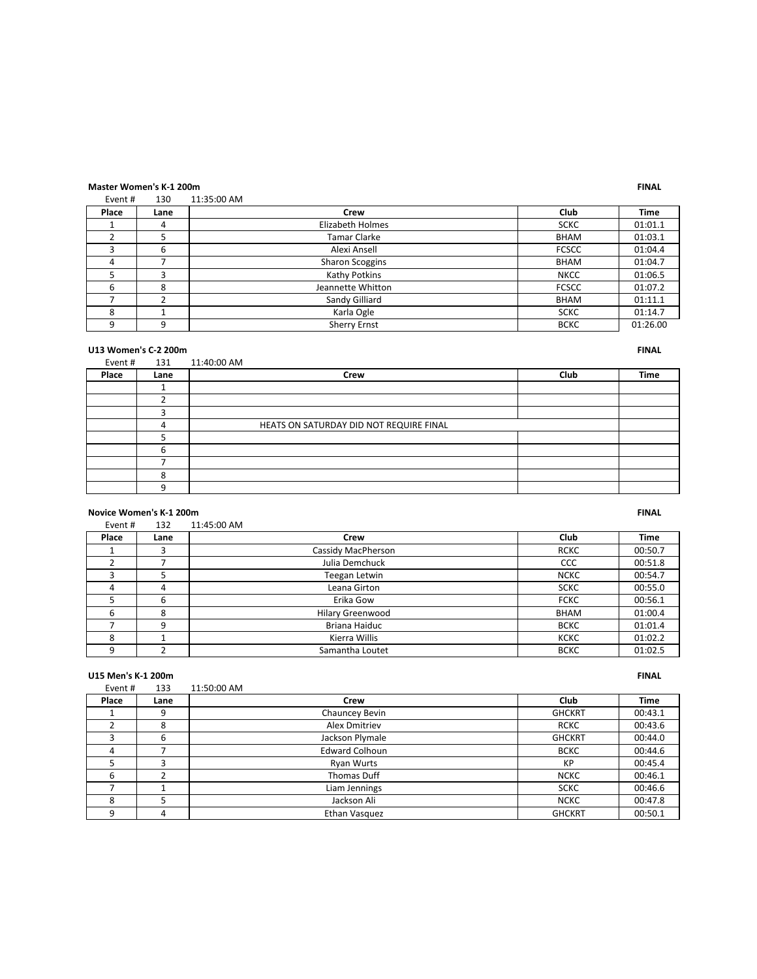### **Master Women's K-1 200m FINAL**

|         | VIASLEI VVOIIIEII 3 IL 1 ZUUIII |             |
|---------|---------------------------------|-------------|
| Event # | 130                             | 11:35:00 AM |

| $L$ vent $\pi$ | ⊥J∪  | $11.33.00$ MIVI        |              |             |
|----------------|------|------------------------|--------------|-------------|
| Place          | Lane | Crew                   | Club         | <b>Time</b> |
|                | 4    | Elizabeth Holmes       | <b>SCKC</b>  | 01:01.1     |
|                |      | Tamar Clarke           | <b>BHAM</b>  | 01:03.1     |
|                | 6    | Alexi Ansell           | <b>FCSCC</b> | 01:04.4     |
| 4              |      | <b>Sharon Scoggins</b> | <b>BHAM</b>  | 01:04.7     |
|                |      | Kathy Potkins          | <b>NKCC</b>  | 01:06.5     |
| 6              | 8    | Jeannette Whitton      | <b>FCSCC</b> | 01:07.2     |
|                |      | Sandy Gilliard         | <b>BHAM</b>  | 01:11.1     |
| 8              |      | Karla Ogle             | <b>SCKC</b>  | 01:14.7     |
| a              | q    | <b>Sherry Ernst</b>    | <b>BCKC</b>  | 01:26.00    |

**U13 Women's C-2 200m FINAL Event #** 131 **11:40:00 AM FINAL** 131 11:40:00 AM **Place Lane Crew Club Time** 4 HEATS ON SATURDAY DID NOT REQUIRE FINAL 

### **Novice Women's K-1 200m FINAL**

| Event# | 132  | 11:45:00 AM             |             |             |
|--------|------|-------------------------|-------------|-------------|
| Place  | Lane | Crew                    | Club        | <b>Time</b> |
|        |      | Cassidy MacPherson      | <b>RCKC</b> | 00:50.7     |
|        |      | Julia Demchuck          | <b>CCC</b>  | 00:51.8     |
| 3      |      | Teegan Letwin           | <b>NCKC</b> | 00:54.7     |
| 4      | 4    | Leana Girton            | <b>SCKC</b> | 00:55.0     |
|        | 6    | Erika Gow               | <b>FCKC</b> | 00:56.1     |
| 6      | 8    | <b>Hilary Greenwood</b> | <b>BHAM</b> | 01:00.4     |
|        | q    | Briana Haiduc           | <b>BCKC</b> | 01:01.4     |
| 8      |      | Kierra Willis           | <b>KCKC</b> | 01:02.2     |
| 9      |      | Samantha Loutet         | <b>BCKC</b> | 01:02.5     |

| U15 Men's K-1 200m |      |                       |               | <b>FINAL</b> |
|--------------------|------|-----------------------|---------------|--------------|
| Event #            | 133  | 11:50:00 AM           |               |              |
| Place              | Lane | Crew                  | Club          | <b>Time</b>  |
|                    | 9    | Chauncey Bevin        | <b>GHCKRT</b> | 00:43.1      |
| 2                  | 8    | Alex Dmitriev         | <b>RCKC</b>   | 00:43.6      |
| 3                  | 6    | Jackson Plymale       | <b>GHCKRT</b> | 00:44.0      |
| 4                  |      | <b>Edward Colhoun</b> | <b>BCKC</b>   | 00:44.6      |
|                    | ς    | <b>Ryan Wurts</b>     | KP            | 00:45.4      |
| 6                  | ำ    | Thomas Duff           | <b>NCKC</b>   | 00:46.1      |
|                    |      | Liam Jennings         | <b>SCKC</b>   | 00:46.6      |
| 8                  | 5    | Jackson Ali           | <b>NCKC</b>   | 00:47.8      |
| 9                  | 4    | Ethan Vasquez         | <b>GHCKRT</b> | 00:50.1      |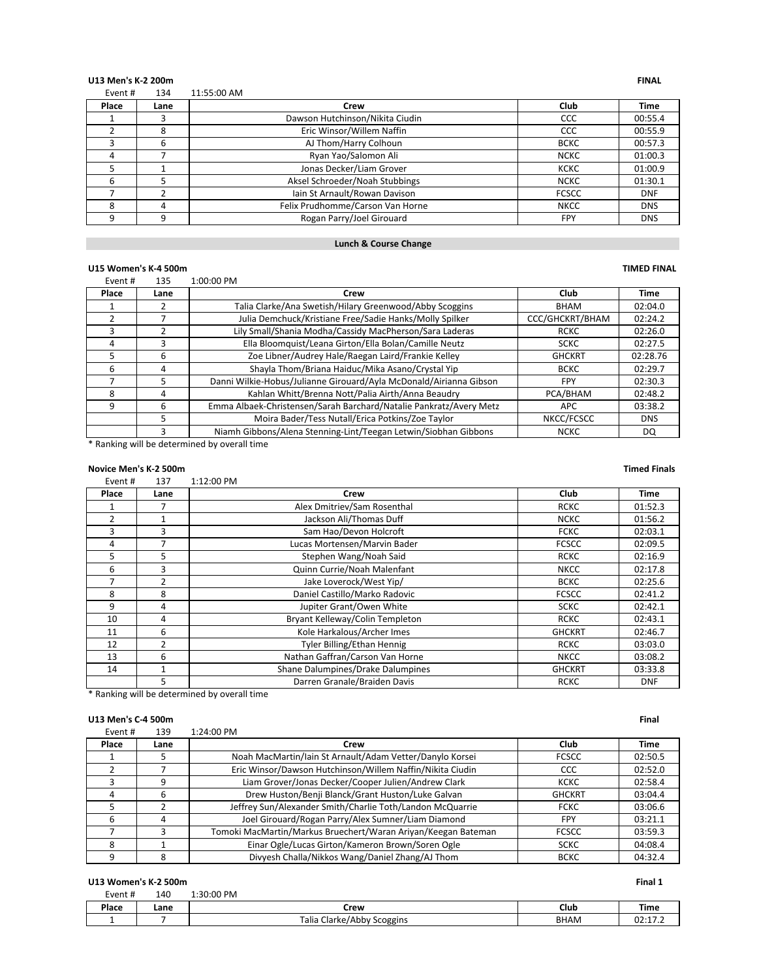# **U13 Men's K-2 200m FINAL**<br>Figure 134 **FINAL**<br>Figure 134 **11:55:00 AM**

| Event# | 134  | 11:55:00 AM                      |              |             |
|--------|------|----------------------------------|--------------|-------------|
| Place  | Lane | Crew                             | Club         | <b>Time</b> |
|        | 3    | Dawson Hutchinson/Nikita Ciudin  | CCC          | 00:55.4     |
|        | 8    | Eric Winsor/Willem Naffin        | CCC          | 00:55.9     |
|        | 6    | AJ Thom/Harry Colhoun            | <b>BCKC</b>  | 00:57.3     |
| 4      |      | Ryan Yao/Salomon Ali             | <b>NCKC</b>  | 01:00.3     |
|        |      | Jonas Decker/Liam Grover         | <b>KCKC</b>  | 01:00.9     |
| 6      |      | Aksel Schroeder/Noah Stubbings   | <b>NCKC</b>  | 01:30.1     |
|        |      | Iain St Arnault/Rowan Davison    | <b>FCSCC</b> | <b>DNF</b>  |
| 8      | 4    | Felix Prudhomme/Carson Van Horne | <b>NKCC</b>  | <b>DNS</b>  |
| ٩      | 9    | Rogan Parry/Joel Girouard        | <b>FPY</b>   | <b>DNS</b>  |

### **Lunch & Course Change**

### **U15 Women's K-4 500m TIMED FINAL**

### Event # 135 1:00:00 PM **Place Lane Crew Club Time** 1 2 Talia Clarke/Ana Swetish/Hilary Greenwood/Abby Scoggins BHAM 02:04.0<br>2 7 Julia Demchuck/Kristiane Free/Sadie Hanks/Molly Spilker CCC/GHCKRT/BHAM 02:24.2 Julia Demchuck/Kristiane Free/Sadie Hanks/Molly Spilker CCC/GHCKRT/BHAM 02:24.2 3 2 Lily Small/Shania Modha/Cassidy MacPherson/Sara Laderas RCKC | 02:26.0 4 3 | Bla Bloomquist/Leana Girton/Ella Bolan/Camille Neutz | SCKC | 02:27.5 5 6 Zoe Libner/Audrey Hale/Raegan Laird/Frankie Kelley GHCKRT 02:28.76 6 4 Shayla Thom/Briana Haiduc/Mika Asano/Crystal Yip BCKC 02:29.7 7 5 Danni Wilkie-Hobus/Julianne Girouard/Ayla McDonald/Airianna Gibson FPY 02:30.3<br>8 4 Kahlan Whitt/Brenna Nott/Palia Airth/Anna Beaudry PCA/BHAM 02:48.2 8 4 / Kahlan Whitt/Brenna Nott/Palia Airth/Anna Beaudry PCA/BHAM 02:48.2 9 6 Emma Albaek-Christensen/Sarah Barchard/Natalie Pankratz/Avery Metz APC 03:38.2<br>5 Moira Bader/Tess Nutall/Erica Potkins/Zoe Taylor NKCC/FCSCC DNS 5 Moira Bader/Tess Nutall/Erica Potkins/Zoe Taylor NKCC/FCSCC DNS 3 Niamh Gibbons/Alena Stenning-Lint/Teegan Letwin/Siobhan Gibbons NCKC DQ

\* Ranking will be determined by overall time

### **Novice Men's K-2 500m Timed Finals**

Event # 137 1:12:00 PM

| Place          | Lane           | Crew                              | Club          | Time       |
|----------------|----------------|-----------------------------------|---------------|------------|
|                |                | Alex Dmitriev/Sam Rosenthal       | <b>RCKC</b>   | 01:52.3    |
| $\overline{2}$ |                | Jackson Ali/Thomas Duff           | <b>NCKC</b>   | 01:56.2    |
| ξ              | $\mathbf{R}$   | Sam Hao/Devon Holcroft            | <b>FCKC</b>   | 02:03.1    |
| 4              |                | Lucas Mortensen/Marvin Bader      | <b>FCSCC</b>  | 02:09.5    |
| 5              | 5              | Stephen Wang/Noah Said            | <b>RCKC</b>   | 02:16.9    |
| 6              | 3              | Quinn Currie/Noah Malenfant       | <b>NKCC</b>   | 02:17.8    |
|                | $\overline{2}$ | Jake Loverock/West Yip/           | <b>BCKC</b>   | 02:25.6    |
| 8              | 8              | Daniel Castillo/Marko Radovic     | <b>FCSCC</b>  | 02:41.2    |
| 9              | 4              | Jupiter Grant/Owen White          | <b>SCKC</b>   | 02:42.1    |
| 10             | 4              | Bryant Kelleway/Colin Templeton   | <b>RCKC</b>   | 02:43.1    |
| 11             | 6              | Kole Harkalous/Archer Imes        | <b>GHCKRT</b> | 02:46.7    |
| 12             | 2              | Tyler Billing/Ethan Hennig        | <b>RCKC</b>   | 03:03.0    |
| 13             | 6              | Nathan Gaffran/Carson Van Horne   | <b>NKCC</b>   | 03:08.2    |
| 14             |                | Shane Dalumpines/Drake Dalumpines | <b>GHCKRT</b> | 03:33.8    |
|                | 5              | Darren Granale/Braiden Davis      | <b>RCKC</b>   | <b>DNF</b> |

\* Ranking will be determined by overall time

### **U13 Men's C-4 500m Final**

| Event# | 139  | 1:24:00 PM                                                    |               |         |
|--------|------|---------------------------------------------------------------|---------------|---------|
| Place  | Lane | Crew                                                          | Club          | Time    |
|        |      | Noah MacMartin/Iain St Arnault/Adam Vetter/Danylo Korsei      | <b>FCSCC</b>  | 02:50.5 |
|        |      | Eric Winsor/Dawson Hutchinson/Willem Naffin/Nikita Ciudin     | <b>CCC</b>    | 02:52.0 |
|        | q    | Liam Grover/Jonas Decker/Cooper Julien/Andrew Clark           | KCKC          | 02:58.4 |
|        | 6    | Drew Huston/Benji Blanck/Grant Huston/Luke Galvan             | <b>GHCKRT</b> | 03:04.4 |
|        |      | Jeffrey Sun/Alexander Smith/Charlie Toth/Landon McQuarrie     | <b>FCKC</b>   | 03:06.6 |
|        | 4    | Joel Girouard/Rogan Parry/Alex Sumner/Liam Diamond            | <b>FPY</b>    | 03:21.1 |
|        |      | Tomoki MacMartin/Markus Bruechert/Waran Ariyan/Keegan Bateman | <b>FCSCC</b>  | 03:59.3 |
| 8      |      | Einar Ogle/Lucas Girton/Kameron Brown/Soren Ogle              | <b>SCKC</b>   | 04:08.4 |
|        |      | Divyesh Challa/Nikkos Wang/Daniel Zhang/AJ Thom               | <b>BCKC</b>   | 04:32.4 |

### **U13 Women's K-2 500m Final 1**

| Event # | 140  | 1:30:00 PM                           |             |                  |
|---------|------|--------------------------------------|-------------|------------------|
| Place   | Lane | Crew                                 | Club        | <b>Time</b>      |
|         |      | Talia<br>: Clarke/Abby<br>' Scoggins | <b>BHAM</b> | 02.17<br>UZ:17.4 |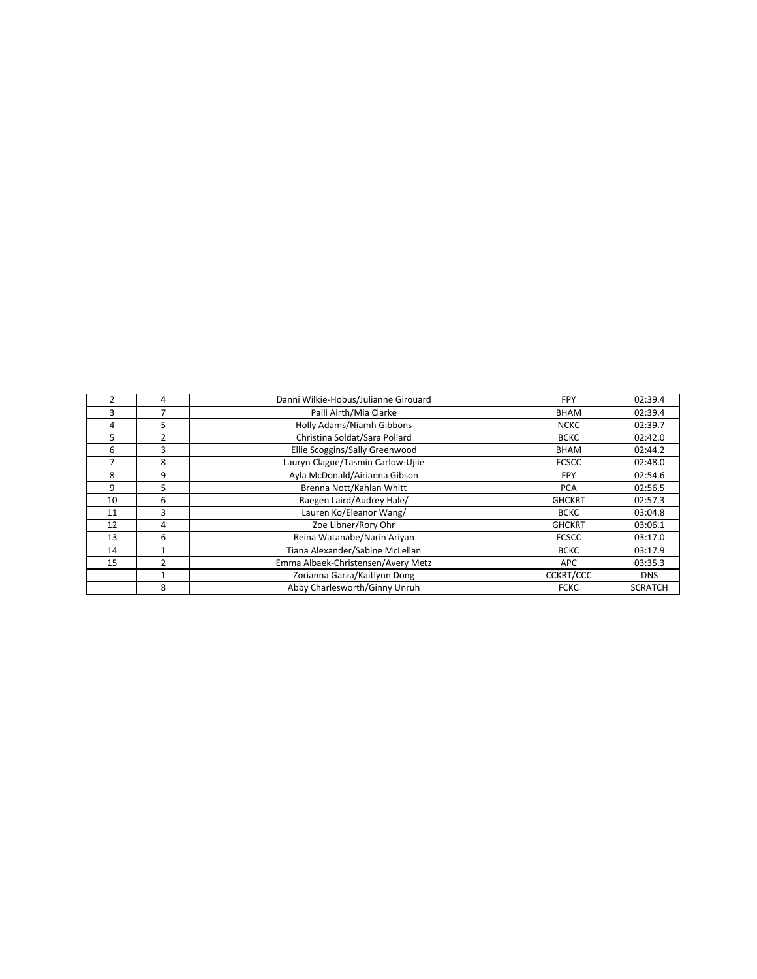|    | 4 | Danni Wilkie-Hobus/Julianne Girouard | <b>FPY</b>       | 02:39.4        |
|----|---|--------------------------------------|------------------|----------------|
| 3  |   | Paili Airth/Mia Clarke               | <b>BHAM</b>      | 02:39.4        |
| 4  | 5 | Holly Adams/Niamh Gibbons            | <b>NCKC</b>      | 02:39.7        |
| 5  | 2 | Christina Soldat/Sara Pollard        | <b>BCKC</b>      | 02:42.0        |
| 6  | 3 | Ellie Scoggins/Sally Greenwood       | <b>BHAM</b>      | 02:44.2        |
|    | 8 | Lauryn Clague/Tasmin Carlow-Ujiie    | <b>FCSCC</b>     | 02:48.0        |
| 8  | 9 | Ayla McDonald/Airianna Gibson        | <b>FPY</b>       | 02:54.6        |
| 9  | 5 | Brenna Nott/Kahlan Whitt             | <b>PCA</b>       | 02:56.5        |
| 10 | 6 | Raegen Laird/Audrey Hale/            | <b>GHCKRT</b>    | 02:57.3        |
| 11 | 3 | Lauren Ko/Eleanor Wang/              | <b>BCKC</b>      | 03:04.8        |
| 12 | 4 | Zoe Libner/Rory Ohr                  | <b>GHCKRT</b>    | 03:06.1        |
| 13 | 6 | Reina Watanabe/Narin Ariyan          | <b>FCSCC</b>     | 03:17.0        |
| 14 |   | Tiana Alexander/Sabine McLellan      | <b>BCKC</b>      | 03:17.9        |
| 15 | 2 | Emma Albaek-Christensen/Avery Metz   | APC              | 03:35.3        |
|    |   | Zorianna Garza/Kaitlynn Dong         | <b>CCKRT/CCC</b> | <b>DNS</b>     |
|    | 8 | Abby Charlesworth/Ginny Unruh        | <b>FCKC</b>      | <b>SCRATCH</b> |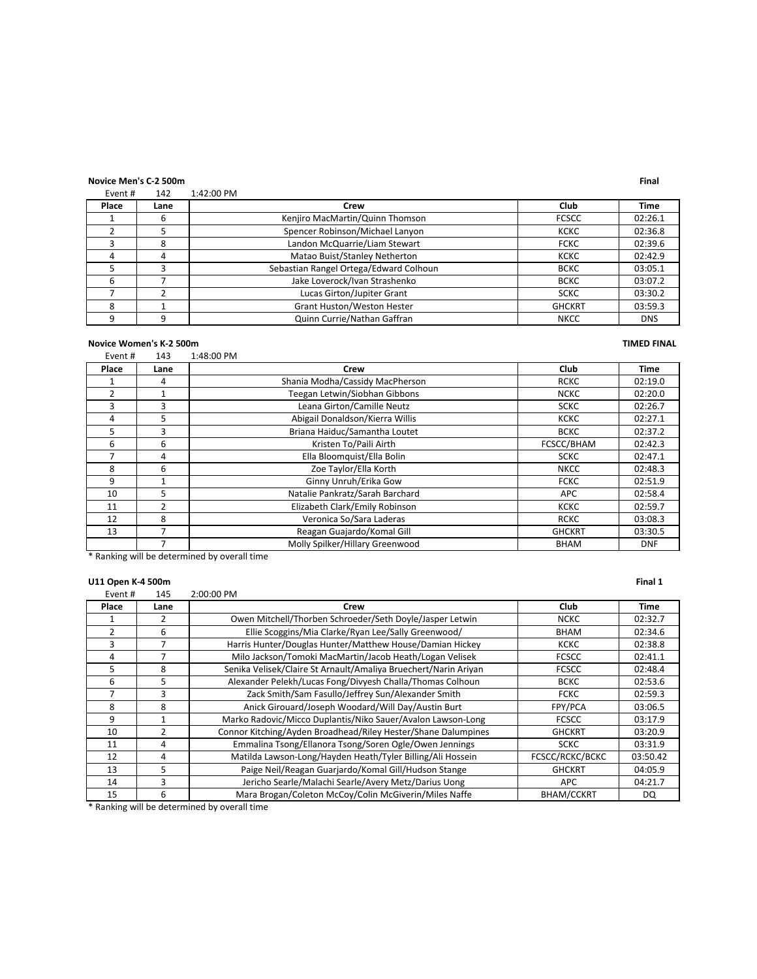**Novice Men's C-2 500m Final** Event  $\#$  142

| Place | Lane | Crew                                   | Club          | <b>Time</b> |
|-------|------|----------------------------------------|---------------|-------------|
|       |      | Kenjiro MacMartin/Quinn Thomson        | <b>FCSCC</b>  | 02:26.1     |
|       |      | Spencer Robinson/Michael Lanyon        | <b>KCKC</b>   | 02:36.8     |
|       | 8    | Landon McQuarrie/Liam Stewart          | <b>FCKC</b>   | 02:39.6     |
|       | 4    | Matao Buist/Stanley Netherton          | кскс          | 02:42.9     |
|       |      | Sebastian Rangel Ortega/Edward Colhoun | <b>BCKC</b>   | 03:05.1     |
|       |      | Jake Loverock/Ivan Strashenko          | <b>BCKC</b>   | 03:07.2     |
|       |      | Lucas Girton/Jupiter Grant             | <b>SCKC</b>   | 03:30.2     |
|       |      | <b>Grant Huston/Weston Hester</b>      | <b>GHCKRT</b> | 03:59.3     |
|       |      | Quinn Currie/Nathan Gaffran            | <b>NKCC</b>   | <b>DNS</b>  |

### **Novice Women's K-2 500m TIMED** FINAL

Event # 143 1:48:00 PM **Place Lane Crew Club Time** 1 | 4 | Shania Modha/Cassidy MacPherson | RCKC | 02:19.0 2 1 Teegan Letwin/Siobhan Gibbons NCKC 02:20.0 3 3 3 3 Leana Girton/Camille Neutz SCKC 3 3 3 3 3 SCKC 4 5 Abigail Donaldson/Kierra Willis KCKC 02:27.1 5 3 3 Briana Haiduc/Samantha Loutet BCKC 02:37.2 6 6 6 6 Kristen To/Paili Airth **FCSCC/BHAM** 02:42.3 T 4 Ella Bloomquist/Ella Bolin SCKC 02:47.1<br>
8 6 20e Taylor/Ella Korth NKCC 02:48.3 8 6 Zoe Taylor/Ella Korth NKCC 2:48.3 9 1 Ginny Unruh/Erika Gow FCKC 02:51.9<br>10 5 Natalie Pankratz/Sarah Barchard APC 02:58.4 10 5 Natalie Pankratz/Sarah Barchard APC 11 2 Elizabeth Clark/Emily Robinson KCKC 02:59.7 12 8 Veronica So/Sara Laderas RCKC 03:08.3 13 7 Reagan Guajardo/Komal Gill GHCKRT 03:30.5<br>13 7 Molly Spilker/Hillary Greenwood BHAM DNF 7 | Molly Spilker/Hillary Greenwood

\* Ranking will be determined by overall time

### **U11 Open K-4 500m Final 1**

| Event#         | 145            | 2:00:00 PM                                                      |                   |          |
|----------------|----------------|-----------------------------------------------------------------|-------------------|----------|
| Place          | Lane           | Crew                                                            | Club              | Time     |
|                | $\mathcal{P}$  | Owen Mitchell/Thorben Schroeder/Seth Doyle/Jasper Letwin        | <b>NCKC</b>       | 02:32.7  |
| $\overline{2}$ | 6              | Ellie Scoggins/Mia Clarke/Ryan Lee/Sally Greenwood/             | <b>BHAM</b>       | 02:34.6  |
| ς              | $\overline{ }$ | Harris Hunter/Douglas Hunter/Matthew House/Damian Hickey        | <b>KCKC</b>       | 02:38.8  |
| 4              |                | Milo Jackson/Tomoki MacMartin/Jacob Heath/Logan Velisek         | <b>FCSCC</b>      | 02:41.1  |
| 5              | 8              | Senika Velisek/Claire St Arnault/Amaliya Bruechert/Narin Ariyan | <b>FCSCC</b>      | 02:48.4  |
| 6              | 5              | Alexander Pelekh/Lucas Fong/Divyesh Challa/Thomas Colhoun       | <b>BCKC</b>       | 02:53.6  |
| 7              | 3              | Zack Smith/Sam Fasullo/Jeffrey Sun/Alexander Smith              | <b>FCKC</b>       | 02:59.3  |
| 8              | 8              | Anick Girouard/Joseph Woodard/Will Day/Austin Burt              | FPY/PCA           | 03:06.5  |
| 9              |                | Marko Radovic/Micco Duplantis/Niko Sauer/Avalon Lawson-Long     | <b>FCSCC</b>      | 03:17.9  |
| 10             | $\mathcal{P}$  | Connor Kitching/Ayden Broadhead/Riley Hester/Shane Dalumpines   | <b>GHCKRT</b>     | 03:20.9  |
| 11             | 4              | Emmalina Tsong/Ellanora Tsong/Soren Ogle/Owen Jennings          | <b>SCKC</b>       | 03:31.9  |
| 12             | 4              | Matilda Lawson-Long/Hayden Heath/Tyler Billing/Ali Hossein      | FCSCC/RCKC/BCKC   | 03:50.42 |
| 13             | 5              | Paige Neil/Reagan Guarjardo/Komal Gill/Hudson Stange            | <b>GHCKRT</b>     | 04:05.9  |
| 14             | 3              | Jericho Searle/Malachi Searle/Avery Metz/Darius Uong            | APC               | 04:21.7  |
| 15             | 6              | Mara Brogan/Coleton McCoy/Colin McGiverin/Miles Naffe           | <b>BHAM/CCKRT</b> | DQ.      |

\* Ranking will be determined by overall time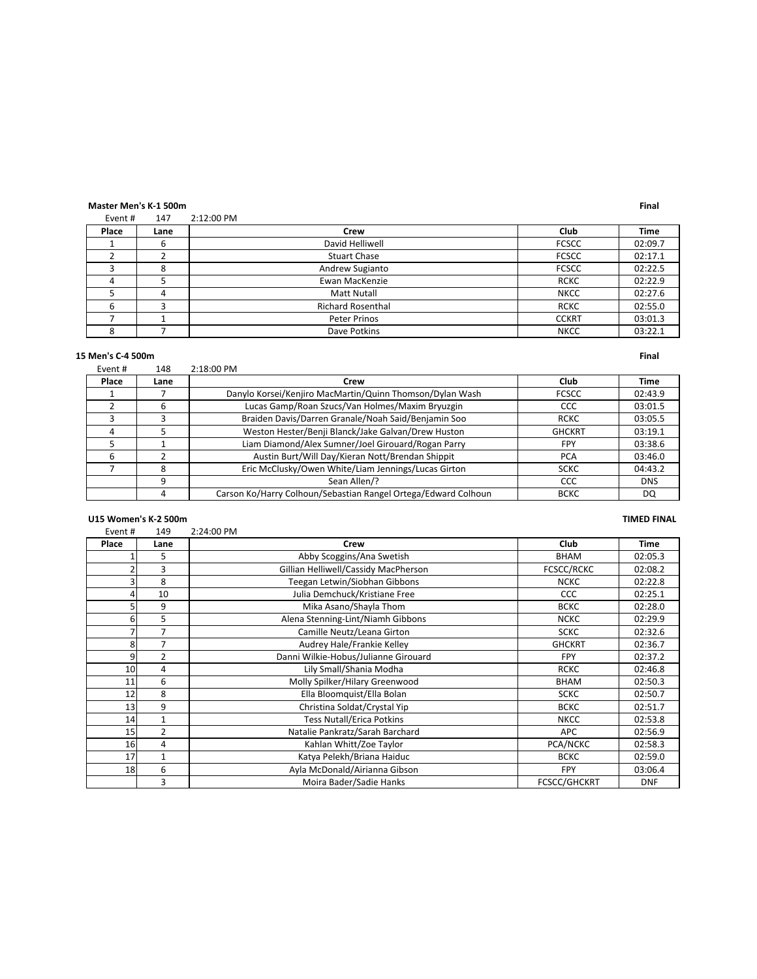### **Master Men's K-1 500m Final**

| Event# | 147  | 2:12:00 PM               |              |             |
|--------|------|--------------------------|--------------|-------------|
| Place  | Lane | Crew                     | Club         | <b>Time</b> |
|        | b    | David Helliwell          | <b>FCSCC</b> | 02:09.7     |
|        |      | <b>Stuart Chase</b>      | <b>FCSCC</b> | 02:17.1     |
|        | 8    | Andrew Sugianto          | <b>FCSCC</b> | 02:22.5     |
|        |      | Ewan MacKenzie           | <b>RCKC</b>  | 02:22.9     |
|        | 4    | <b>Matt Nutall</b>       | <b>NKCC</b>  | 02:27.6     |
|        |      | <b>Richard Rosenthal</b> | <b>RCKC</b>  | 02:55.0     |
|        |      | Peter Prinos             | <b>CCKRT</b> | 03:01.3     |
|        |      | Dave Potkins             | <b>NKCC</b>  | 03:22.1     |

### **U15 Men's C-4 500m Final**

| Event # | 148  | 2:18:00 PM                                                     |               |            |
|---------|------|----------------------------------------------------------------|---------------|------------|
| Place   | Lane | Crew                                                           | Club          | Time       |
|         |      | Danylo Korsei/Kenjiro MacMartin/Quinn Thomson/Dylan Wash       | <b>FCSCC</b>  | 02:43.9    |
|         |      | Lucas Gamp/Roan Szucs/Van Holmes/Maxim Bryuzgin                | CCC           | 03:01.5    |
|         |      | Braiden Davis/Darren Granale/Noah Said/Benjamin Soo            | <b>RCKC</b>   | 03:05.5    |
|         |      | Weston Hester/Benji Blanck/Jake Galvan/Drew Huston             | <b>GHCKRT</b> | 03:19.1    |
|         |      | Liam Diamond/Alex Sumner/Joel Girouard/Rogan Parry             | <b>FPY</b>    | 03:38.6    |
| h       |      | Austin Burt/Will Day/Kieran Nott/Brendan Shippit               | <b>PCA</b>    | 03:46.0    |
|         |      | Eric McClusky/Owen White/Liam Jennings/Lucas Girton            | <b>SCKC</b>   | 04:43.2    |
|         | 9    | Sean Allen/?                                                   | CCC           | <b>DNS</b> |
|         |      | Carson Ko/Harry Colhoun/Sebastian Rangel Ortega/Edward Colhoun | <b>BCKC</b>   | DQ         |

# U15 Women's K-2 500m **TIMED** FINAL

| Event# | 149            | 2:24:00 PM                           |                     |             |
|--------|----------------|--------------------------------------|---------------------|-------------|
| Place  | Lane           | Crew                                 | Club                | <b>Time</b> |
|        | 5              | Abby Scoggins/Ana Swetish            | <b>BHAM</b>         | 02:05.3     |
|        | 3              | Gillian Helliwell/Cassidy MacPherson | FCSCC/RCKC          | 02:08.2     |
|        | 8              | Teegan Letwin/Siobhan Gibbons        | <b>NCKC</b>         | 02:22.8     |
|        | 10             | Julia Demchuck/Kristiane Free        | <b>CCC</b>          | 02:25.1     |
|        | 9              | Mika Asano/Shayla Thom               | <b>BCKC</b>         | 02:28.0     |
| 6      | 5              | Alena Stenning-Lint/Niamh Gibbons    | <b>NCKC</b>         | 02:29.9     |
|        | 7              | Camille Neutz/Leana Girton           | <b>SCKC</b>         | 02:32.6     |
| 8      | 7              | Audrey Hale/Frankie Kelley           | <b>GHCKRT</b>       | 02:36.7     |
| ٩      | $\overline{2}$ | Danni Wilkie-Hobus/Julianne Girouard | <b>FPY</b>          | 02:37.2     |
| 10     | 4              | Lily Small/Shania Modha              | <b>RCKC</b>         | 02:46.8     |
| 11     | 6              | Molly Spilker/Hilary Greenwood       | <b>BHAM</b>         | 02:50.3     |
| 12     | 8              | Ella Bloomquist/Ella Bolan           | <b>SCKC</b>         | 02:50.7     |
| 13     | 9              | Christina Soldat/Crystal Yip         | <b>BCKC</b>         | 02:51.7     |
| 14     | 1              | <b>Tess Nutall/Erica Potkins</b>     | <b>NKCC</b>         | 02:53.8     |
| 15     | 2              | Natalie Pankratz/Sarah Barchard      | <b>APC</b>          | 02:56.9     |
| 16     | 4              | Kahlan Whitt/Zoe Taylor              | PCA/NCKC            | 02:58.3     |
| 17     | 1              | Katya Pelekh/Briana Haiduc           | <b>BCKC</b>         | 02:59.0     |
| 18     | 6              | Ayla McDonald/Airianna Gibson        | <b>FPY</b>          | 03:06.4     |
|        | 3              | Moira Bader/Sadie Hanks              | <b>FCSCC/GHCKRT</b> | <b>DNF</b>  |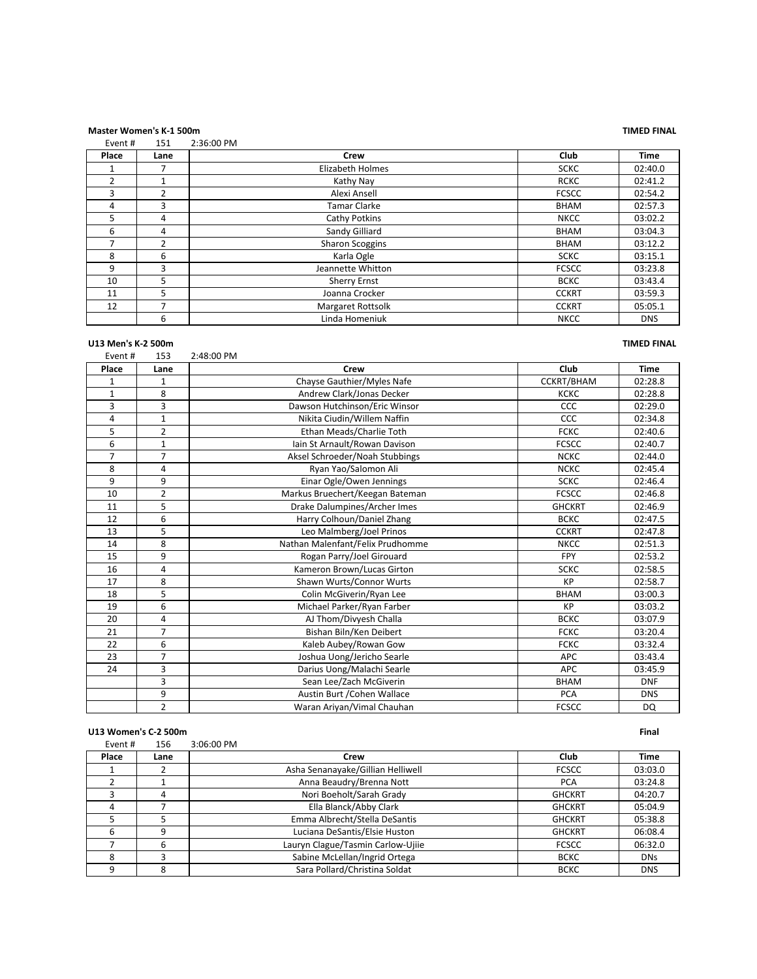# **Master Women's K-1 500m TIMED FINAL**

| Event# | 151          | 2:36:00 PM              |              |             |
|--------|--------------|-------------------------|--------------|-------------|
| Place  | Lane         | Crew                    | Club         | <b>Time</b> |
|        |              | <b>Elizabeth Holmes</b> | <b>SCKC</b>  | 02:40.0     |
| 2      |              | Kathy Nay               | <b>RCKC</b>  | 02:41.2     |
| 3      | 2            | Alexi Ansell            | <b>FCSCC</b> | 02:54.2     |
| 4      | 3            | Tamar Clarke            | <b>BHAM</b>  | 02:57.3     |
| 5      | 4            | Cathy Potkins           | <b>NKCC</b>  | 03:02.2     |
| 6      | 4            | Sandy Gilliard          | <b>BHAM</b>  | 03:04.3     |
|        | $\mathbf{2}$ | <b>Sharon Scoggins</b>  | <b>BHAM</b>  | 03:12.2     |
| 8      | 6            | Karla Ogle              | <b>SCKC</b>  | 03:15.1     |
| 9      | 3            | Jeannette Whitton       | <b>FCSCC</b> | 03:23.8     |
| 10     | 5            | <b>Sherry Ernst</b>     | <b>BCKC</b>  | 03:43.4     |
| 11     | 5            | Joanna Crocker          | <b>CCKRT</b> | 03:59.3     |
| 12     |              | Margaret Rottsolk       | <b>CCKRT</b> | 05:05.1     |
|        | 6            | Linda Homeniuk          | <b>NKCC</b>  | <b>DNS</b>  |

| U13 Men's K-2 500m |                |                                  |               | <b>TIMED FINAL</b> |
|--------------------|----------------|----------------------------------|---------------|--------------------|
| Event#             | 153            | 2:48:00 PM                       |               |                    |
| Place              | Lane           | Crew                             | Club          | <b>Time</b>        |
| $\mathbf{1}$       | $\mathbf{1}$   | Chayse Gauthier/Myles Nafe       | CCKRT/BHAM    | 02:28.8            |
| $\mathbf{1}$       | 8              | Andrew Clark/Jonas Decker        | <b>KCKC</b>   | 02:28.8            |
| 3                  | 3              | Dawson Hutchinson/Eric Winsor    | CCC           | 02:29.0            |
| 4                  | $\mathbf{1}$   | Nikita Ciudin/Willem Naffin      | CCC           | 02:34.8            |
| 5                  | $\overline{2}$ | Ethan Meads/Charlie Toth         | <b>FCKC</b>   | 02:40.6            |
| 6                  | $\mathbf{1}$   | Iain St Arnault/Rowan Davison    | <b>FCSCC</b>  | 02:40.7            |
| $\overline{7}$     | $\overline{7}$ | Aksel Schroeder/Noah Stubbings   | <b>NCKC</b>   | 02:44.0            |
| 8                  | 4              | Ryan Yao/Salomon Ali             | <b>NCKC</b>   | 02:45.4            |
| 9                  | 9              | Einar Ogle/Owen Jennings         | <b>SCKC</b>   | 02:46.4            |
| 10                 | $\overline{2}$ | Markus Bruechert/Keegan Bateman  | <b>FCSCC</b>  | 02:46.8            |
| 11                 | 5              | Drake Dalumpines/Archer Imes     | <b>GHCKRT</b> | 02:46.9            |
| 12                 | 6              | Harry Colhoun/Daniel Zhang       | <b>BCKC</b>   | 02:47.5            |
| 13                 | 5              | Leo Malmberg/Joel Prinos         | <b>CCKRT</b>  | 02:47.8            |
| 14                 | 8              | Nathan Malenfant/Felix Prudhomme | <b>NKCC</b>   | 02:51.3            |
| 15                 | 9              | Rogan Parry/Joel Girouard        | <b>FPY</b>    | 02:53.2            |
| 16                 | 4              | Kameron Brown/Lucas Girton       | <b>SCKC</b>   | 02:58.5            |
| 17                 | 8              | Shawn Wurts/Connor Wurts         | KP            | 02:58.7            |
| 18                 | 5              | Colin McGiverin/Ryan Lee         | <b>BHAM</b>   | 03:00.3            |
| 19                 | 6              | Michael Parker/Ryan Farber       | <b>KP</b>     | 03:03.2            |
| 20                 | 4              | AJ Thom/Divyesh Challa           | <b>BCKC</b>   | 03:07.9            |
| 21                 | 7              | Bishan Biln/Ken Deibert          | <b>FCKC</b>   | 03:20.4            |
| 22                 | 6              | Kaleb Aubey/Rowan Gow            | <b>FCKC</b>   | 03:32.4            |
| 23                 | $\overline{7}$ | Joshua Uong/Jericho Searle       | <b>APC</b>    | 03:43.4            |
| 24                 | 3              | Darius Uong/Malachi Searle       | <b>APC</b>    | 03:45.9            |
|                    | 3              | Sean Lee/Zach McGiverin          | <b>BHAM</b>   | <b>DNF</b>         |
|                    | 9              | Austin Burt / Cohen Wallace      | <b>PCA</b>    | <b>DNS</b>         |
|                    | $\overline{2}$ | Waran Ariyan/Vimal Chauhan       | <b>FCSCC</b>  | <b>DQ</b>          |

|         | U13 Women's C-2 500m |                                   |               |            |  |
|---------|----------------------|-----------------------------------|---------------|------------|--|
| Event # | 156                  | 3:06:00 PM                        |               |            |  |
| Place   | Lane                 | Crew                              | Club          | Time       |  |
|         |                      | Asha Senanayake/Gillian Helliwell | <b>FCSCC</b>  | 03:03.0    |  |
|         |                      | Anna Beaudry/Brenna Nott          | <b>PCA</b>    | 03:24.8    |  |
|         | 4                    | Nori Boeholt/Sarah Grady          | <b>GHCKRT</b> | 04:20.7    |  |
| 4       |                      | Ella Blanck/Abby Clark            | <b>GHCKRT</b> | 05:04.9    |  |
| 5       |                      | Emma Albrecht/Stella DeSantis     | <b>GHCKRT</b> | 05:38.8    |  |
| 6       | 9                    | Luciana DeSantis/Elsie Huston     | <b>GHCKRT</b> | 06:08.4    |  |
|         | 6                    | Lauryn Clague/Tasmin Carlow-Ujiie | <b>FCSCC</b>  | 06:32.0    |  |
| 8       |                      | Sabine McLellan/Ingrid Ortega     | <b>BCKC</b>   | <b>DNs</b> |  |
| 9       | 8                    | Sara Pollard/Christina Soldat     | <b>BCKC</b>   | <b>DNS</b> |  |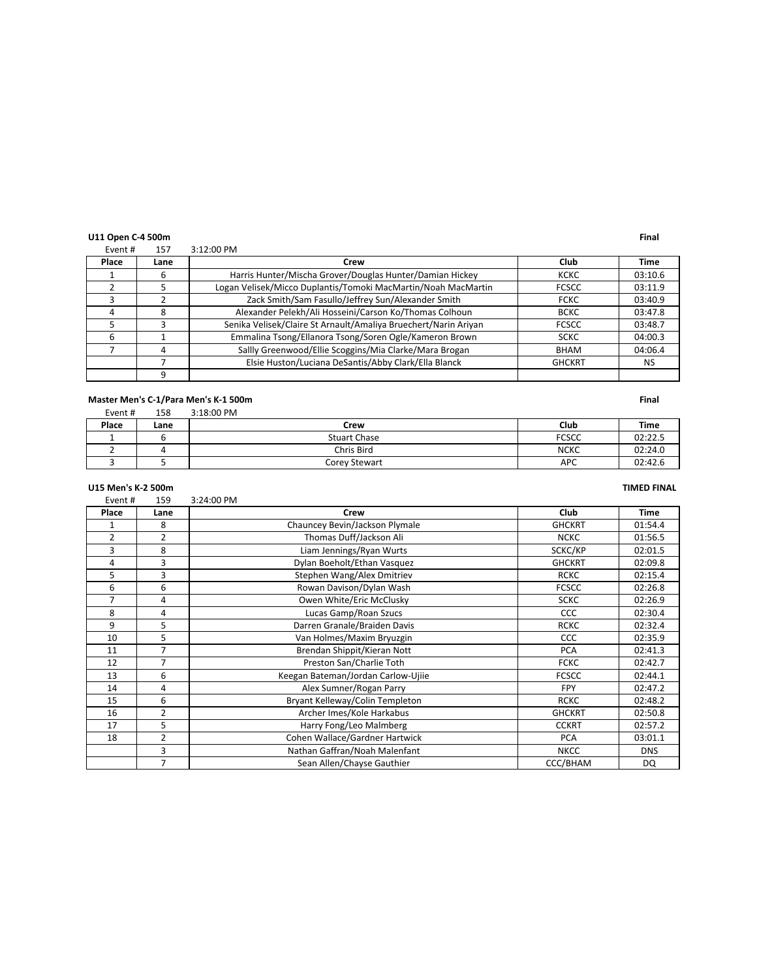### **U11** Open C-4 500m **Final**

| Event# | 157  | 3:12:00 PM                                                      |               |         |
|--------|------|-----------------------------------------------------------------|---------------|---------|
| Place  | Lane | Crew                                                            | Club          | Time    |
|        | b    | Harris Hunter/Mischa Grover/Douglas Hunter/Damian Hickey        | KCKC          | 03:10.6 |
|        |      | Logan Velisek/Micco Duplantis/Tomoki MacMartin/Noah MacMartin   | <b>FCSCC</b>  | 03:11.9 |
|        |      | Zack Smith/Sam Fasullo/Jeffrey Sun/Alexander Smith              | <b>FCKC</b>   | 03:40.9 |
|        | 8    | Alexander Pelekh/Ali Hosseini/Carson Ko/Thomas Colhoun          | <b>BCKC</b>   | 03:47.8 |
|        |      | Senika Velisek/Claire St Arnault/Amaliya Bruechert/Narin Ariyan | <b>FCSCC</b>  | 03:48.7 |
| 6      |      | Emmalina Tsong/Ellanora Tsong/Soren Ogle/Kameron Brown          | <b>SCKC</b>   | 04:00.3 |
|        |      | Sallly Greenwood/Ellie Scoggins/Mia Clarke/Mara Brogan          | <b>BHAM</b>   | 04:06.4 |
|        |      | Elsie Huston/Luciana DeSantis/Abby Clark/Ella Blanck            | <b>GHCKRT</b> | NS      |
|        |      |                                                                 |               |         |

### **Master Men's C-1/Para Men's K-1 500m Final**

| Event # | 158 | 3:18:00 PM |
|---------|-----|------------|
|         |     |            |

| Place | Lane | Crew                | Club         | Time    |
|-------|------|---------------------|--------------|---------|
|       |      | <b>Stuart Chase</b> | <b>FCSCC</b> | 02:22.5 |
|       |      | Chris Bird          | <b>NCKC</b>  | 02:24.0 |
|       |      | Corey Stewart       | APC          | 02:42.6 |

### **U15 Men's K-2 500m TIMED FINAL**

Event # 159 3:24:00 PM **Place Lane Crew Club Time** 1 8 Chauncey Bevin/Jackson Plymale CHCKRT 01:54.4 2 2 2 2 2 Thomas Duff/Jackson Ali 2 NCKC 01:56.5 3 8 SCKC/KP 02:01.5 4 3 Dylan Boeholt/Ethan Vasquez GHCKRT 02:09.8 5 3 Stephen Wang/Alex Dmitriev RCKC 2:15.4 6 6 6 6 Rowan Davison/Dylan Wash FCSCC 8 02:26.8 7 4 Owen White/Eric McClusky SCKC 02:26.9 8 4 Lucas Gamp/Roan Szucs CCC 02:30.4 Darren Granale/Braiden Davis CCC 02:30.4 CCC 02:30.4 9 5 Darren Granale/Braiden Davis RCKC 02:32.4 10 5 Van Holmes/Maxim Bryuzgin CCC 02:35.9<br>11 7 Brendan Shippit/Kieran Nott PCA 02:41.3 11 7 Brendan Shippit/Kieran Nott PCA 02:41.3 12 7 Preston San/Charlie Toth FCKC 02:42.7 13 6 Keegan Bateman/Jordan Carlow-Ujiie FCSCC 02:44.1 14 | 4 | Alex Sumner/Rogan Parry | FPY | 02:47.2 15 6 Bryant Kelleway/Colin Templeton RCKC 02:48.2 16 2 | Archer Imes/Kole Harkabus | GHCKRT | 02:50.8 17 S Harry Fong/Leo Malmberg CCKRT 02:57.2 18 2 Cohen Wallace/Gardner Hartwick PCA 03:01.1 3 Nathan Gaffran/Noah Malenfant NKCC NKCC DNS 7 Sean Allen/Chayse Gauthier CCC/BHAM DQ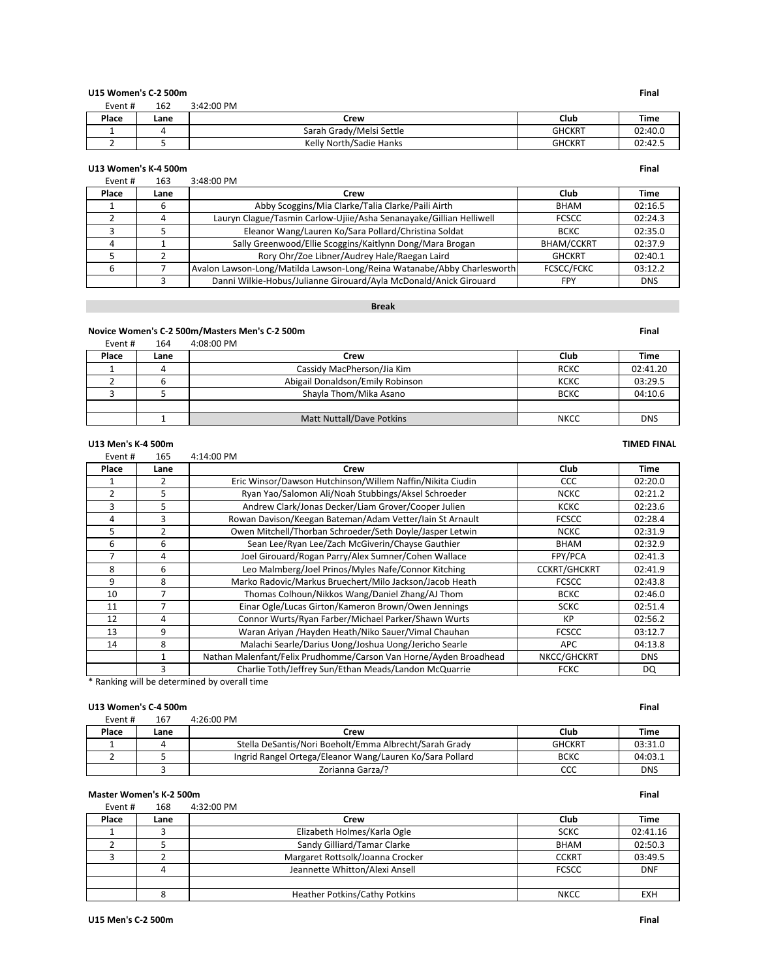| U15 Women's C-2 500m |      |                          |               | <b>Final</b> |
|----------------------|------|--------------------------|---------------|--------------|
| Event #              | 162  | 3:42:00 PM               |               |              |
| Place                | Lane | Crew                     | Club          | Time         |
|                      |      | Sarah Grady/Melsi Settle | <b>GHCKRT</b> | 02:40.0      |
|                      |      | Kelly North/Sadie Hanks  | <b>GHCKRT</b> | 02:42.5      |

### **U13 Women's K-4 500m Final**

| Event# | 163  | 3:48:00 PM                                                              |                   |            |
|--------|------|-------------------------------------------------------------------------|-------------------|------------|
| Place  | Lane | Crew                                                                    | Club              | Time       |
|        | b    | Abby Scoggins/Mia Clarke/Talia Clarke/Paili Airth                       | <b>BHAM</b>       | 02:16.5    |
|        | 4    | Lauryn Clague/Tasmin Carlow-Ujiie/Asha Senanayake/Gillian Helliwell     | <b>FCSCC</b>      | 02:24.3    |
|        |      | Eleanor Wang/Lauren Ko/Sara Pollard/Christina Soldat                    | <b>BCKC</b>       | 02:35.0    |
|        |      | Sally Greenwood/Ellie Scoggins/Kaitlynn Dong/Mara Brogan                | <b>BHAM/CCKRT</b> | 02:37.9    |
|        |      | Rory Ohr/Zoe Libner/Audrey Hale/Raegan Laird                            | <b>GHCKRT</b>     | 02:40.1    |
|        |      | Avalon Lawson-Long/Matilda Lawson-Long/Reina Watanabe/Abby Charlesworth | <b>FCSCC/FCKC</b> | 03:12.2    |
|        |      | Danni Wilkie-Hobus/Julianne Girouard/Ayla McDonald/Anick Girouard       | FPY               | <b>DNS</b> |

# **Break**

### **Novice Women's C-2 500m/Masters Men's C-2 500m Final**

| Event# | 164  | 4:08:00 PM                       |             |            |
|--------|------|----------------------------------|-------------|------------|
| Place  | Lane | Crew                             | Club        | Time       |
|        |      | Cassidy MacPherson/Jia Kim       | <b>RCKC</b> | 02:41.20   |
|        |      | Abigail Donaldson/Emily Robinson | KCKC        | 03:29.5    |
|        |      | Shayla Thom/Mika Asano           | <b>BCKC</b> | 04:10.6    |
|        |      |                                  |             |            |
|        |      | Matt Nuttall/Dave Potkins        | <b>NKCC</b> | <b>DNS</b> |

### **U13 Men's K-4 500m TIMED FINAL**

| Event#         | 165            | 4:14:00 PM                                                        |                     |             |
|----------------|----------------|-------------------------------------------------------------------|---------------------|-------------|
| Place          | Lane           | Crew                                                              | Club                | <b>Time</b> |
|                |                | Eric Winsor/Dawson Hutchinson/Willem Naffin/Nikita Ciudin         | <b>CCC</b>          | 02:20.0     |
| $\overline{2}$ | 5              | Ryan Yao/Salomon Ali/Noah Stubbings/Aksel Schroeder               | <b>NCKC</b>         | 02:21.2     |
| 3              | 5.             | Andrew Clark/Jonas Decker/Liam Grover/Cooper Julien               | <b>KCKC</b>         | 02:23.6     |
| 4              | 3              | Rowan Davison/Keegan Bateman/Adam Vetter/Iain St Arnault          | <b>FCSCC</b>        | 02:28.4     |
| 5              | $\overline{2}$ | Owen Mitchell/Thorban Schroeder/Seth Doyle/Jasper Letwin          | NCKC                | 02:31.9     |
| 6              | 6              | Sean Lee/Ryan Lee/Zach McGiverin/Chayse Gauthier                  | <b>BHAM</b>         | 02:32.9     |
|                | 4              | Joel Girouard/Rogan Parry/Alex Sumner/Cohen Wallace               | FPY/PCA             | 02:41.3     |
| 8              | 6              | Leo Malmberg/Joel Prinos/Myles Nafe/Connor Kitching               | <b>CCKRT/GHCKRT</b> | 02:41.9     |
| 9              | 8              | Marko Radovic/Markus Bruechert/Milo Jackson/Jacob Heath           | <b>FCSCC</b>        | 02:43.8     |
| 10             | 7              | Thomas Colhoun/Nikkos Wang/Daniel Zhang/AJ Thom                   | <b>BCKC</b>         | 02:46.0     |
| 11             |                | Einar Ogle/Lucas Girton/Kameron Brown/Owen Jennings               | <b>SCKC</b>         | 02:51.4     |
| 12             | 4              | Connor Wurts/Ryan Farber/Michael Parker/Shawn Wurts               | КP                  | 02:56.2     |
| 13             | 9              | Waran Ariyan / Hayden Heath/Niko Sauer/Vimal Chauhan              | <b>FCSCC</b>        | 03:12.7     |
| 14             | 8              | Malachi Searle/Darius Uong/Joshua Uong/Jericho Searle             | <b>APC</b>          | 04:13.8     |
|                |                | Nathan Malenfant/Felix Prudhomme/Carson Van Horne/Ayden Broadhead | NKCC/GHCKRT         | <b>DNS</b>  |
|                | 3              | Charlie Toth/Jeffrey Sun/Ethan Meads/Landon McQuarrie             | <b>FCKC</b>         | DQ          |

\* Ranking will be determined by overall time

# **U13 Women's C-4 500m Final**

| Event # | 167  | 4:26:00 PM                                               |               |             |
|---------|------|----------------------------------------------------------|---------------|-------------|
| Place   | Lane | Crew                                                     | Club          | <b>Time</b> |
|         |      | Stella DeSantis/Nori Boeholt/Emma Albrecht/Sarah Grady   | <b>GHCKRT</b> | 03:31.0     |
|         |      | Ingrid Rangel Ortega/Eleanor Wang/Lauren Ko/Sara Pollard | <b>BCKC</b>   | 04:03.1     |
|         |      | Zorianna Garza/?                                         | CCC           | <b>DNS</b>  |

### **Master Women's K-2 500m Final**

| Event # | 168  | 4:32:00 PM                       |              |            |
|---------|------|----------------------------------|--------------|------------|
| Place   | Lane | Crew                             | Club         | Time       |
|         |      | Elizabeth Holmes/Karla Ogle      | <b>SCKC</b>  | 02:41.16   |
|         |      | Sandy Gilliard/Tamar Clarke      | BHAM         | 02:50.3    |
|         |      | Margaret Rottsolk/Joanna Crocker | <b>CCKRT</b> | 03:49.5    |
|         |      | Jeannette Whitton/Alexi Ansell   | <b>FCSCC</b> | <b>DNF</b> |
|         |      |                                  |              |            |
|         |      | Heather Potkins/Cathy Potkins    | <b>NKCC</b>  | <b>EXH</b> |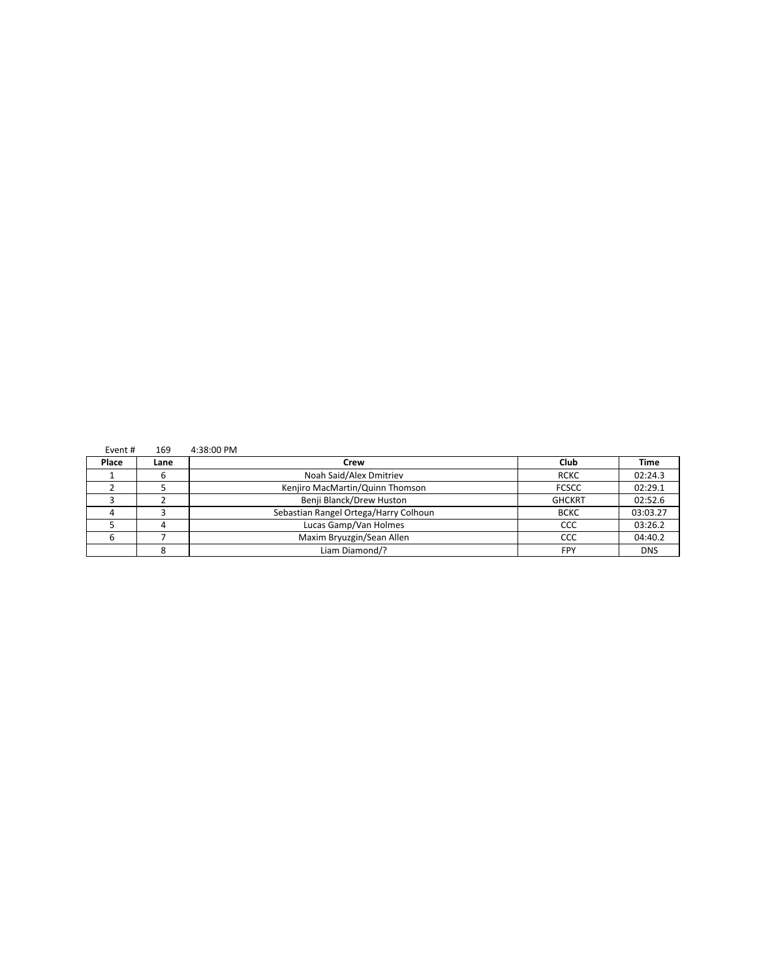| Event# | 169  | 4:38:00 PM                            |               |             |
|--------|------|---------------------------------------|---------------|-------------|
| Place  | Lane | Crew                                  | Club          | <b>Time</b> |
|        | b    | Noah Said/Alex Dmitriev               | <b>RCKC</b>   | 02:24.3     |
|        |      | Kenjiro MacMartin/Quinn Thomson       | <b>FCSCC</b>  | 02:29.1     |
|        |      | Benji Blanck/Drew Huston              | <b>GHCKRT</b> | 02:52.6     |
|        |      | Sebastian Rangel Ortega/Harry Colhoun | <b>BCKC</b>   | 03:03.27    |
|        |      | Lucas Gamp/Van Holmes                 | CCC           | 03:26.2     |
|        |      | Maxim Bryuzgin/Sean Allen             | CCC           | 04:40.2     |
|        |      | Liam Diamond/?                        | FPY           | <b>DNS</b>  |